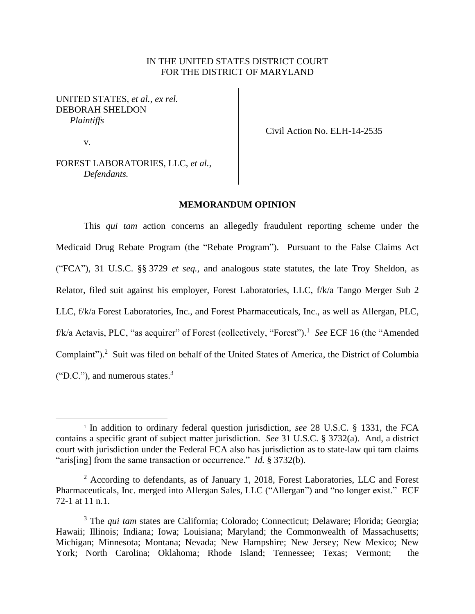# IN THE UNITED STATES DISTRICT COURT FOR THE DISTRICT OF MARYLAND

# UNITED STATES, *et al.*, *ex rel.* DEBORAH SHELDON *Plaintiffs*

v.

Civil Action No. ELH-14-2535

FOREST LABORATORIES, LLC, *et al.*, *Defendants.*

# **MEMORANDUM OPINION**

This *qui tam* action concerns an allegedly fraudulent reporting scheme under the Medicaid Drug Rebate Program (the "Rebate Program"). Pursuant to the False Claims Act ("FCA"), 31 U.S.C. §§ 3729 *et seq.,* and analogous state statutes, the late Troy Sheldon, as Relator, filed suit against his employer, Forest Laboratories, LLC, f/k/a Tango Merger Sub 2 LLC, f/k/a Forest Laboratories, Inc., and Forest Pharmaceuticals, Inc., as well as Allergan, PLC, f/k/a Actavis, PLC, "as acquirer" of Forest (collectively, "Forest").<sup>1</sup> See ECF 16 (the "Amended Complaint"). <sup>2</sup> Suit was filed on behalf of the United States of America, the District of Columbia  $("D.C."),$  and numerous states.<sup>3</sup>

<sup>&</sup>lt;sup>1</sup> In addition to ordinary federal question jurisdiction, *see* 28 U.S.C. § 1331, the FCA contains a specific grant of subject matter jurisdiction. *See* 31 U.S.C. § 3732(a). And, a district court with jurisdiction under the Federal FCA also has jurisdiction as to state-law qui tam claims "aris[ing] from the same transaction or occurrence." *Id.* § 3732(b).

<sup>2</sup> According to defendants, as of January 1, 2018, Forest Laboratories, LLC and Forest Pharmaceuticals, Inc. merged into Allergan Sales, LLC ("Allergan") and "no longer exist." ECF 72-1 at 11 n.1.

<sup>3</sup> The *qui tam* states are California; Colorado; Connecticut; Delaware; Florida; Georgia; Hawaii; Illinois; Indiana; Iowa; Louisiana; Maryland; the Commonwealth of Massachusetts; Michigan; Minnesota; Montana; Nevada; New Hampshire; New Jersey; New Mexico; New York; North Carolina; Oklahoma; Rhode Island; Tennessee; Texas; Vermont; the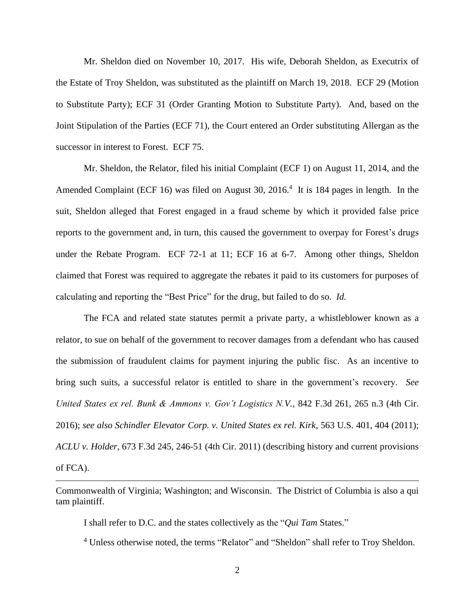Mr. Sheldon died on November 10, 2017. His wife, Deborah Sheldon, as Executrix of the Estate of Troy Sheldon, was substituted as the plaintiff on March 19, 2018. ECF 29 (Motion to Substitute Party); ECF 31 (Order Granting Motion to Substitute Party). And, based on the Joint Stipulation of the Parties (ECF 71), the Court entered an Order substituting Allergan as the successor in interest to Forest. ECF 75.

Mr. Sheldon, the Relator, filed his initial Complaint (ECF 1) on August 11, 2014, and the Amended Complaint (ECF 16) was filed on August 30, 2016.<sup>4</sup> It is 184 pages in length. In the suit, Sheldon alleged that Forest engaged in a fraud scheme by which it provided false price reports to the government and, in turn, this caused the government to overpay for Forest's drugs under the Rebate Program. ECF 72-1 at 11; ECF 16 at 6-7. Among other things, Sheldon claimed that Forest was required to aggregate the rebates it paid to its customers for purposes of calculating and reporting the "Best Price" for the drug, but failed to do so. *Id.* 

The FCA and related state statutes permit a private party, a whistleblower known as a relator, to sue on behalf of the government to recover damages from a defendant who has caused the submission of fraudulent claims for payment injuring the public fisc. As an incentive to bring such suits, a successful relator is entitled to share in the government's recovery. *See United States ex rel. Bunk & Ammons v. Gov't Logistics N.V.*, 842 F.3d 261, 265 n.3 (4th Cir. 2016); *see also Schindler Elevator Corp. v. United States ex rel. Kirk*, 563 U.S. 401, 404 (2011); *ACLU v. Holder*, 673 F.3d 245, 246-51 (4th Cir. 2011) (describing history and current provisions of FCA).

I shall refer to D.C. and the states collectively as the "*Qui Tam* States."

<sup>4</sup> Unless otherwise noted, the terms "Relator" and "Sheldon" shall refer to Troy Sheldon.

Commonwealth of Virginia; Washington; and Wisconsin. The District of Columbia is also a qui tam plaintiff.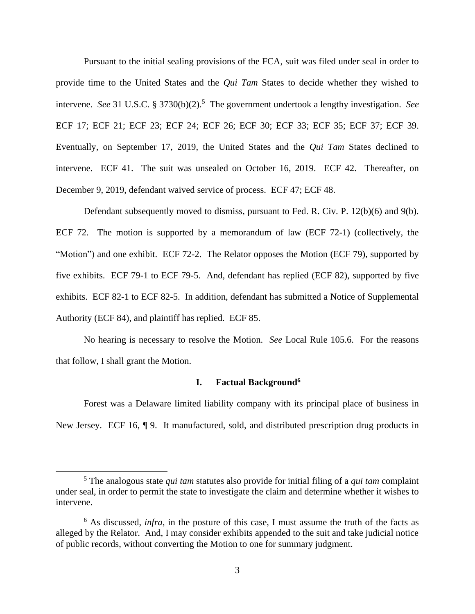Pursuant to the initial sealing provisions of the FCA, suit was filed under seal in order to provide time to the United States and the *Qui Tam* States to decide whether they wished to intervene. *See* 31 U.S.C. § 3730(b)(2).<sup>5</sup> The government undertook a lengthy investigation. *See* ECF 17; ECF 21; ECF 23; ECF 24; ECF 26; ECF 30; ECF 33; ECF 35; ECF 37; ECF 39. Eventually, on September 17, 2019, the United States and the *Qui Tam* States declined to intervene. ECF 41. The suit was unsealed on October 16, 2019. ECF 42. Thereafter, on December 9, 2019, defendant waived service of process. ECF 47; ECF 48.

Defendant subsequently moved to dismiss, pursuant to Fed. R. Civ. P. 12(b)(6) and 9(b). ECF 72. The motion is supported by a memorandum of law (ECF 72-1) (collectively, the "Motion") and one exhibit. ECF 72-2. The Relator opposes the Motion (ECF 79), supported by five exhibits. ECF 79-1 to ECF 79-5. And, defendant has replied (ECF 82), supported by five exhibits. ECF 82-1 to ECF 82-5. In addition, defendant has submitted a Notice of Supplemental Authority (ECF 84), and plaintiff has replied. ECF 85.

No hearing is necessary to resolve the Motion. *See* Local Rule 105.6. For the reasons that follow, I shall grant the Motion.

## **I. Factual Background<sup>6</sup>**

Forest was a Delaware limited liability company with its principal place of business in New Jersey. ECF 16,  $\P$  9. It manufactured, sold, and distributed prescription drug products in

<sup>5</sup> The analogous state *qui tam* statutes also provide for initial filing of a *qui tam* complaint under seal, in order to permit the state to investigate the claim and determine whether it wishes to intervene.

<sup>6</sup> As discussed, *infra*, in the posture of this case, I must assume the truth of the facts as alleged by the Relator. And, I may consider exhibits appended to the suit and take judicial notice of public records, without converting the Motion to one for summary judgment.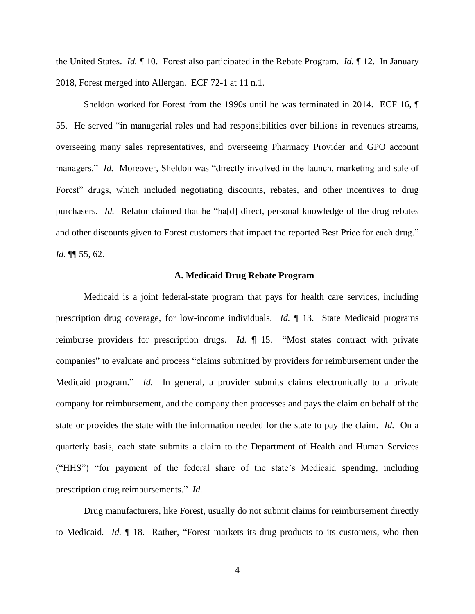the United States. *Id.* ¶ 10. Forest also participated in the Rebate Program. *Id.* ¶ 12. In January 2018, Forest merged into Allergan. ECF 72-1 at 11 n.1.

Sheldon worked for Forest from the 1990s until he was terminated in 2014. ECF 16, ¶ 55. He served "in managerial roles and had responsibilities over billions in revenues streams, overseeing many sales representatives, and overseeing Pharmacy Provider and GPO account managers." *Id.* Moreover, Sheldon was "directly involved in the launch, marketing and sale of Forest" drugs, which included negotiating discounts, rebates, and other incentives to drug purchasers. *Id.* Relator claimed that he "ha[d] direct, personal knowledge of the drug rebates and other discounts given to Forest customers that impact the reported Best Price for each drug." *Id.* ¶¶ 55, 62.

## **A. Medicaid Drug Rebate Program**

Medicaid is a joint federal-state program that pays for health care services, including prescription drug coverage, for low-income individuals. *Id.* ¶ 13. State Medicaid programs reimburse providers for prescription drugs. *Id.* ¶ 15. "Most states contract with private companies" to evaluate and process "claims submitted by providers for reimbursement under the Medicaid program." *Id.* In general, a provider submits claims electronically to a private company for reimbursement, and the company then processes and pays the claim on behalf of the state or provides the state with the information needed for the state to pay the claim. *Id.* On a quarterly basis, each state submits a claim to the Department of Health and Human Services ("HHS") "for payment of the federal share of the state's Medicaid spending, including prescription drug reimbursements." *Id.*

Drug manufacturers, like Forest, usually do not submit claims for reimbursement directly to Medicaid*. Id.* ¶ 18. Rather, "Forest markets its drug products to its customers, who then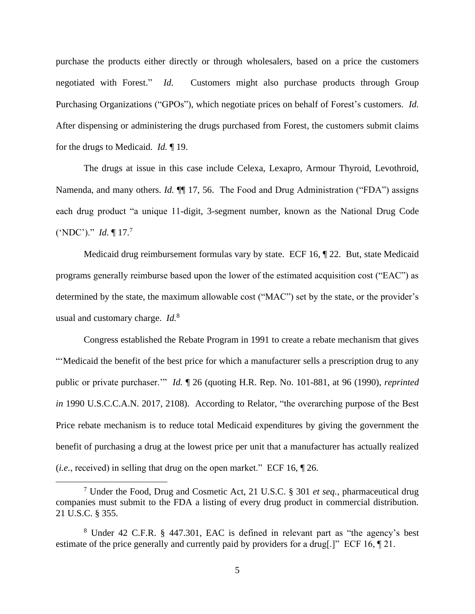purchase the products either directly or through wholesalers, based on a price the customers negotiated with Forest." *Id.* Customers might also purchase products through Group Purchasing Organizations ("GPOs"), which negotiate prices on behalf of Forest's customers. *Id.*  After dispensing or administering the drugs purchased from Forest, the customers submit claims for the drugs to Medicaid. *Id.* ¶ 19.

The drugs at issue in this case include Celexa, Lexapro, Armour Thyroid, Levothroid, Namenda, and many others. *Id.* **[1**] 17, 56. The Food and Drug Administration ("FDA") assigns each drug product "a unique 11-digit, 3-segment number, known as the National Drug Code ('NDC')." *Id.* ¶ 17. 7

Medicaid drug reimbursement formulas vary by state. ECF 16, ¶ 22. But, state Medicaid programs generally reimburse based upon the lower of the estimated acquisition cost ("EAC") as determined by the state, the maximum allowable cost ("MAC") set by the state, or the provider's usual and customary charge. *Id.*<sup>8</sup>

Congress established the Rebate Program in 1991 to create a rebate mechanism that gives "'Medicaid the benefit of the best price for which a manufacturer sells a prescription drug to any public or private purchaser.'" *Id.* ¶ 26 (quoting H.R. Rep. No. 101-881, at 96 (1990), *reprinted in* 1990 U.S.C.C.A.N. 2017, 2108). According to Relator, "the overarching purpose of the Best Price rebate mechanism is to reduce total Medicaid expenditures by giving the government the benefit of purchasing a drug at the lowest price per unit that a manufacturer has actually realized (*i.e.*, received) in selling that drug on the open market." ECF 16, ¶ 26.

<sup>7</sup> Under the Food, Drug and Cosmetic Act, 21 U.S.C. § 301 *et seq.*, pharmaceutical drug companies must submit to the FDA a listing of every drug product in commercial distribution. 21 U.S.C. § 355.

<sup>8</sup> Under 42 C.F.R. § 447.301, EAC is defined in relevant part as "the agency's best estimate of the price generally and currently paid by providers for a drug[.]" ECF 16, ¶ 21.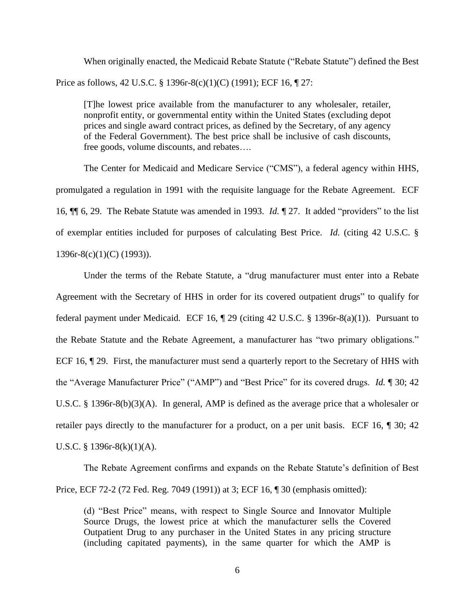When originally enacted, the Medicaid Rebate Statute ("Rebate Statute") defined the Best Price as follows, 42 U.S.C. § 1396r-8(c)(1)(C) (1991); ECF 16, ¶ 27:

[T]he lowest price available from the manufacturer to any wholesaler, retailer, nonprofit entity, or governmental entity within the United States (excluding depot prices and single award contract prices, as defined by the Secretary, of any agency of the Federal Government). The best price shall be inclusive of cash discounts, free goods, volume discounts, and rebates….

The Center for Medicaid and Medicare Service ("CMS"), a federal agency within HHS, promulgated a regulation in 1991 with the requisite language for the Rebate Agreement. ECF 16, ¶¶ 6, 29. The Rebate Statute was amended in 1993. *Id.* ¶ 27. It added "providers" to the list of exemplar entities included for purposes of calculating Best Price. *Id.* (citing 42 U.S.C. § 1396r-8(c)(1)(C) (1993)).

Under the terms of the Rebate Statute, a "drug manufacturer must enter into a Rebate Agreement with the Secretary of HHS in order for its covered outpatient drugs" to qualify for federal payment under Medicaid*.* ECF 16, ¶ 29 (citing 42 U.S.C. § 1396r-8(a)(1)). Pursuant to the Rebate Statute and the Rebate Agreement, a manufacturer has "two primary obligations." ECF 16,  $\sqrt{29}$ . First, the manufacturer must send a quarterly report to the Secretary of HHS with the "Average Manufacturer Price" ("AMP") and "Best Price" for its covered drugs. *Id.* ¶ 30; 42 U.S.C. § 1396r-8(b)(3)(A). In general, AMP is defined as the average price that a wholesaler or retailer pays directly to the manufacturer for a product, on a per unit basis. ECF 16, ¶ 30; 42 U.S.C. § 1396r-8 $(k)(1)(A)$ .

The Rebate Agreement confirms and expands on the Rebate Statute's definition of Best Price, ECF 72-2 (72 Fed. Reg. 7049 (1991)) at 3; ECF 16, ¶ 30 (emphasis omitted):

(d) "Best Price" means, with respect to Single Source and Innovator Multiple Source Drugs, the lowest price at which the manufacturer sells the Covered Outpatient Drug to any purchaser in the United States in any pricing structure (including capitated payments), in the same quarter for which the AMP is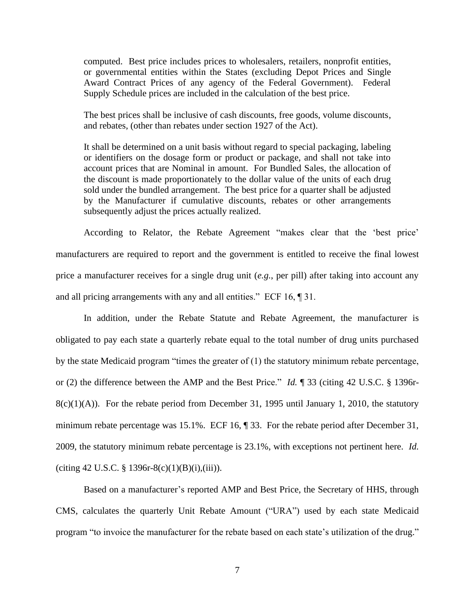computed. Best price includes prices to wholesalers, retailers, nonprofit entities, or governmental entities within the States (excluding Depot Prices and Single Award Contract Prices of any agency of the Federal Government). Federal Supply Schedule prices are included in the calculation of the best price.

The best prices shall be inclusive of cash discounts, free goods, volume discounts, and rebates, (other than rebates under section 1927 of the Act).

It shall be determined on a unit basis without regard to special packaging, labeling or identifiers on the dosage form or product or package, and shall not take into account prices that are Nominal in amount. For Bundled Sales, the allocation of the discount is made proportionately to the dollar value of the units of each drug sold under the bundled arrangement. The best price for a quarter shall be adjusted by the Manufacturer if cumulative discounts, rebates or other arrangements subsequently adjust the prices actually realized.

According to Relator, the Rebate Agreement "makes clear that the 'best price' manufacturers are required to report and the government is entitled to receive the final lowest price a manufacturer receives for a single drug unit (*e.g.*, per pill) after taking into account any and all pricing arrangements with any and all entities." ECF 16, ¶ 31.

In addition, under the Rebate Statute and Rebate Agreement, the manufacturer is obligated to pay each state a quarterly rebate equal to the total number of drug units purchased by the state Medicaid program "times the greater of (1) the statutory minimum rebate percentage, or (2) the difference between the AMP and the Best Price." *Id.* ¶ 33 (citing 42 U.S.C. § 1396r- $8(c)(1)(A)$ . For the rebate period from December 31, 1995 until January 1, 2010, the statutory minimum rebate percentage was 15.1%. ECF 16, ¶ 33. For the rebate period after December 31, 2009, the statutory minimum rebate percentage is 23.1%, with exceptions not pertinent here. *Id.*  (citing 42 U.S.C. § 1396r-8(c)(1)(B)(i),(iii)).

Based on a manufacturer's reported AMP and Best Price, the Secretary of HHS, through CMS, calculates the quarterly Unit Rebate Amount ("URA") used by each state Medicaid program "to invoice the manufacturer for the rebate based on each state's utilization of the drug."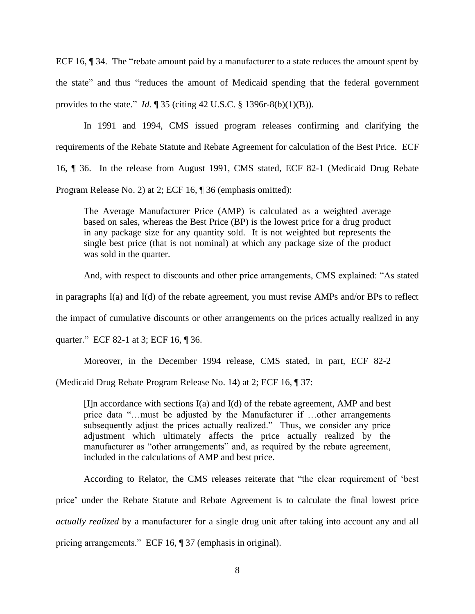ECF 16,  $\parallel$  34. The "rebate amount paid by a manufacturer to a state reduces the amount spent by the state" and thus "reduces the amount of Medicaid spending that the federal government provides to the state." *Id.* ¶ 35 (citing 42 U.S.C. § 1396r-8(b)(1)(B)).

In 1991 and 1994, CMS issued program releases confirming and clarifying the requirements of the Rebate Statute and Rebate Agreement for calculation of the Best Price. ECF 16, ¶ 36. In the release from August 1991, CMS stated, ECF 82-1 (Medicaid Drug Rebate Program Release No. 2) at 2; ECF 16, ¶ 36 (emphasis omitted):

The Average Manufacturer Price (AMP) is calculated as a weighted average based on sales, whereas the Best Price (BP) is the lowest price for a drug product in any package size for any quantity sold. It is not weighted but represents the single best price (that is not nominal) at which any package size of the product was sold in the quarter.

And, with respect to discounts and other price arrangements, CMS explained: "As stated

in paragraphs I(a) and I(d) of the rebate agreement, you must revise AMPs and/or BPs to reflect

the impact of cumulative discounts or other arrangements on the prices actually realized in any

quarter." ECF 82-1 at 3; ECF 16, ¶ 36.

Moreover, in the December 1994 release, CMS stated, in part, ECF 82-2

(Medicaid Drug Rebate Program Release No. 14) at 2; ECF 16, ¶ 37:

[I]n accordance with sections I(a) and I(d) of the rebate agreement, AMP and best price data "…must be adjusted by the Manufacturer if …other arrangements subsequently adjust the prices actually realized." Thus, we consider any price adjustment which ultimately affects the price actually realized by the manufacturer as "other arrangements" and, as required by the rebate agreement, included in the calculations of AMP and best price.

According to Relator, the CMS releases reiterate that "the clear requirement of 'best price' under the Rebate Statute and Rebate Agreement is to calculate the final lowest price *actually realized* by a manufacturer for a single drug unit after taking into account any and all pricing arrangements." ECF 16, ¶ 37 (emphasis in original).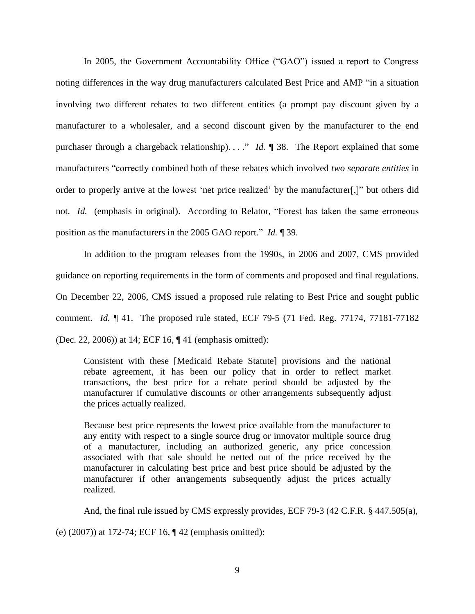In 2005, the Government Accountability Office ("GAO") issued a report to Congress noting differences in the way drug manufacturers calculated Best Price and AMP "in a situation involving two different rebates to two different entities (a prompt pay discount given by a manufacturer to a wholesaler, and a second discount given by the manufacturer to the end purchaser through a chargeback relationship). . . ." *Id.* ¶ 38. The Report explained that some manufacturers "correctly combined both of these rebates which involved *two separate entities* in order to properly arrive at the lowest 'net price realized' by the manufacturer[,]" but others did not. *Id.* (emphasis in original). According to Relator, "Forest has taken the same erroneous position as the manufacturers in the 2005 GAO report." *Id.* ¶ 39.

In addition to the program releases from the 1990s, in 2006 and 2007, CMS provided guidance on reporting requirements in the form of comments and proposed and final regulations. On December 22, 2006, CMS issued a proposed rule relating to Best Price and sought public comment. *Id.* ¶ 41. The proposed rule stated, ECF 79-5 (71 Fed. Reg. 77174, 77181-77182 (Dec. 22, 2006)) at 14; ECF 16, ¶ 41 (emphasis omitted):

Consistent with these [Medicaid Rebate Statute] provisions and the national rebate agreement, it has been our policy that in order to reflect market transactions, the best price for a rebate period should be adjusted by the manufacturer if cumulative discounts or other arrangements subsequently adjust the prices actually realized.

Because best price represents the lowest price available from the manufacturer to any entity with respect to a single source drug or innovator multiple source drug of a manufacturer, including an authorized generic, any price concession associated with that sale should be netted out of the price received by the manufacturer in calculating best price and best price should be adjusted by the manufacturer if other arrangements subsequently adjust the prices actually realized.

And, the final rule issued by CMS expressly provides, ECF 79-3 (42 C.F.R. § 447.505(a),

(e) (2007)) at 172-74; ECF 16, ¶ 42 (emphasis omitted):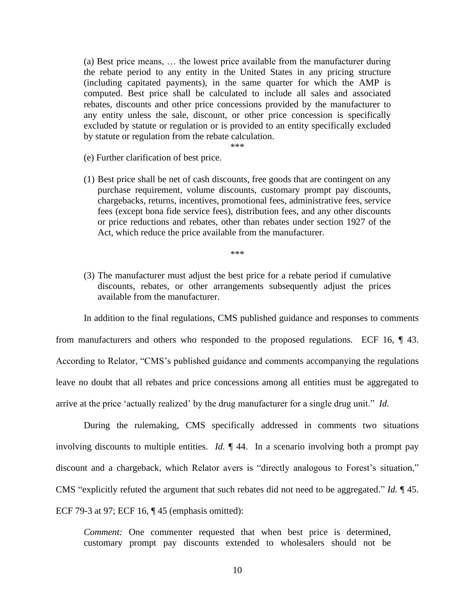(a) Best price means, … the lowest price available from the manufacturer during the rebate period to any entity in the United States in any pricing structure (including capitated payments), in the same quarter for which the AMP is computed. Best price shall be calculated to include all sales and associated rebates, discounts and other price concessions provided by the manufacturer to any entity unless the sale, discount, or other price concession is specifically excluded by statute or regulation or is provided to an entity specifically excluded by statute or regulation from the rebate calculation.

\*\*\*

- (e) Further clarification of best price.
- (1) Best price shall be net of cash discounts, free goods that are contingent on any purchase requirement, volume discounts, customary prompt pay discounts, chargebacks, returns, incentives, promotional fees, administrative fees, service fees (except bona fide service fees), distribution fees, and any other discounts or price reductions and rebates, other than rebates under section 1927 of the Act, which reduce the price available from the manufacturer.

\*\*\*

(3) The manufacturer must adjust the best price for a rebate period if cumulative discounts, rebates, or other arrangements subsequently adjust the prices available from the manufacturer.

In addition to the final regulations, CMS published guidance and responses to comments from manufacturers and others who responded to the proposed regulations. ECF 16, ¶ 43. According to Relator, "CMS's published guidance and comments accompanying the regulations leave no doubt that all rebates and price concessions among all entities must be aggregated to arrive at the price 'actually realized' by the drug manufacturer for a single drug unit." *Id.* 

During the rulemaking, CMS specifically addressed in comments two situations involving discounts to multiple entities. *Id.* ¶ 44. In a scenario involving both a prompt pay discount and a chargeback, which Relator avers is "directly analogous to Forest's situation," CMS "explicitly refuted the argument that such rebates did not need to be aggregated." *Id.* ¶ 45. ECF 79-3 at 97; ECF 16, ¶ 45 (emphasis omitted):

*Comment:* One commenter requested that when best price is determined, customary prompt pay discounts extended to wholesalers should not be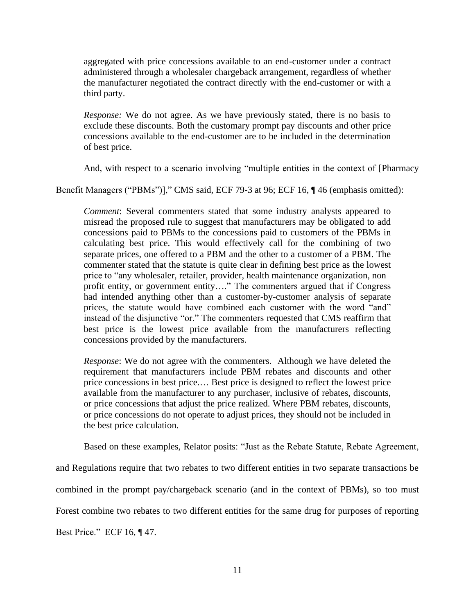aggregated with price concessions available to an end-customer under a contract administered through a wholesaler chargeback arrangement, regardless of whether the manufacturer negotiated the contract directly with the end-customer or with a third party.

*Response:* We do not agree. As we have previously stated, there is no basis to exclude these discounts. Both the customary prompt pay discounts and other price concessions available to the end-customer are to be included in the determination of best price.

And, with respect to a scenario involving "multiple entities in the context of [Pharmacy

Benefit Managers ("PBMs")]," CMS said, ECF 79-3 at 96; ECF 16,  $\P$  46 (emphasis omitted):

*Comment*: Several commenters stated that some industry analysts appeared to misread the proposed rule to suggest that manufacturers may be obligated to add concessions paid to PBMs to the concessions paid to customers of the PBMs in calculating best price. This would effectively call for the combining of two separate prices, one offered to a PBM and the other to a customer of a PBM. The commenter stated that the statute is quite clear in defining best price as the lowest price to "any wholesaler, retailer, provider, health maintenance organization, non– profit entity, or government entity…." The commenters argued that if Congress had intended anything other than a customer-by-customer analysis of separate prices, the statute would have combined each customer with the word "and" instead of the disjunctive "or." The commenters requested that CMS reaffirm that best price is the lowest price available from the manufacturers reflecting concessions provided by the manufacturers.

*Response*: We do not agree with the commenters. Although we have deleted the requirement that manufacturers include PBM rebates and discounts and other price concessions in best price.… Best price is designed to reflect the lowest price available from the manufacturer to any purchaser, inclusive of rebates, discounts, or price concessions that adjust the price realized. Where PBM rebates, discounts, or price concessions do not operate to adjust prices, they should not be included in the best price calculation.

Based on these examples, Relator posits: "Just as the Rebate Statute, Rebate Agreement,

and Regulations require that two rebates to two different entities in two separate transactions be combined in the prompt pay/chargeback scenario (and in the context of PBMs), so too must Forest combine two rebates to two different entities for the same drug for purposes of reporting Best Price." ECF 16, ¶ 47.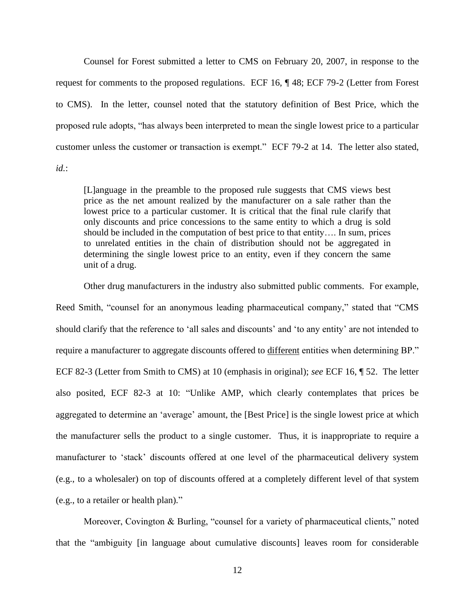Counsel for Forest submitted a letter to CMS on February 20, 2007, in response to the request for comments to the proposed regulations. ECF 16, ¶ 48; ECF 79-2 (Letter from Forest to CMS). In the letter, counsel noted that the statutory definition of Best Price, which the proposed rule adopts, "has always been interpreted to mean the single lowest price to a particular customer unless the customer or transaction is exempt." ECF 79-2 at 14. The letter also stated,

*id.*:

[L]anguage in the preamble to the proposed rule suggests that CMS views best price as the net amount realized by the manufacturer on a sale rather than the lowest price to a particular customer. It is critical that the final rule clarify that only discounts and price concessions to the same entity to which a drug is sold should be included in the computation of best price to that entity…. In sum, prices to unrelated entities in the chain of distribution should not be aggregated in determining the single lowest price to an entity, even if they concern the same unit of a drug.

Other drug manufacturers in the industry also submitted public comments. For example, Reed Smith, "counsel for an anonymous leading pharmaceutical company," stated that "CMS should clarify that the reference to 'all sales and discounts' and 'to any entity' are not intended to require a manufacturer to aggregate discounts offered to different entities when determining BP." ECF 82-3 (Letter from Smith to CMS) at 10 (emphasis in original); *see* ECF 16, ¶ 52. The letter also posited, ECF 82-3 at 10: "Unlike AMP, which clearly contemplates that prices be aggregated to determine an 'average' amount, the [Best Price] is the single lowest price at which the manufacturer sells the product to a single customer. Thus, it is inappropriate to require a manufacturer to 'stack' discounts offered at one level of the pharmaceutical delivery system (e.g., to a wholesaler) on top of discounts offered at a completely different level of that system (e.g., to a retailer or health plan)."

Moreover, Covington & Burling, "counsel for a variety of pharmaceutical clients," noted that the "ambiguity [in language about cumulative discounts] leaves room for considerable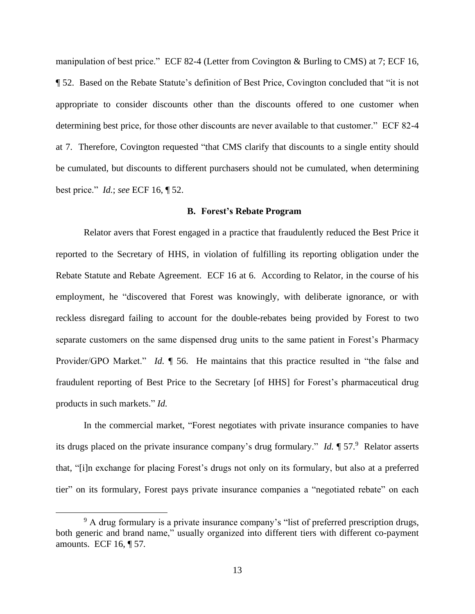manipulation of best price." ECF 82-4 (Letter from Covington & Burling to CMS) at 7; ECF 16, ¶ 52. Based on the Rebate Statute's definition of Best Price, Covington concluded that "it is not appropriate to consider discounts other than the discounts offered to one customer when determining best price, for those other discounts are never available to that customer." ECF 82-4 at 7. Therefore, Covington requested "that CMS clarify that discounts to a single entity should be cumulated, but discounts to different purchasers should not be cumulated, when determining best price." *Id.*; *see* ECF 16, ¶ 52.

#### **B. Forest's Rebate Program**

Relator avers that Forest engaged in a practice that fraudulently reduced the Best Price it reported to the Secretary of HHS, in violation of fulfilling its reporting obligation under the Rebate Statute and Rebate Agreement. ECF 16 at 6. According to Relator, in the course of his employment, he "discovered that Forest was knowingly, with deliberate ignorance, or with reckless disregard failing to account for the double-rebates being provided by Forest to two separate customers on the same dispensed drug units to the same patient in Forest's Pharmacy Provider/GPO Market." *Id.* ¶ 56. He maintains that this practice resulted in "the false and fraudulent reporting of Best Price to the Secretary [of HHS] for Forest's pharmaceutical drug products in such markets." *Id.* 

In the commercial market, "Forest negotiates with private insurance companies to have its drugs placed on the private insurance company's drug formulary." *Id.* ¶ 57.<sup>9</sup> Relator asserts that, "[i]n exchange for placing Forest's drugs not only on its formulary, but also at a preferred tier" on its formulary, Forest pays private insurance companies a "negotiated rebate" on each

<sup>&</sup>lt;sup>9</sup> A drug formulary is a private insurance company's "list of preferred prescription drugs, both generic and brand name," usually organized into different tiers with different co-payment amounts. ECF 16, ¶ 57*.*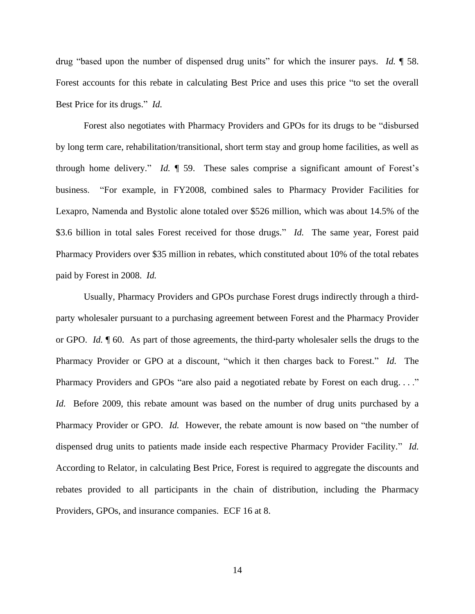drug "based upon the number of dispensed drug units" for which the insurer pays. *Id.* ¶ 58. Forest accounts for this rebate in calculating Best Price and uses this price "to set the overall Best Price for its drugs." *Id.*

Forest also negotiates with Pharmacy Providers and GPOs for its drugs to be "disbursed by long term care, rehabilitation/transitional, short term stay and group home facilities, as well as through home delivery." *Id.* ¶ 59. These sales comprise a significant amount of Forest's business. "For example, in FY2008, combined sales to Pharmacy Provider Facilities for Lexapro, Namenda and Bystolic alone totaled over \$526 million, which was about 14.5% of the \$3.6 billion in total sales Forest received for those drugs." *Id.* The same year, Forest paid Pharmacy Providers over \$35 million in rebates, which constituted about 10% of the total rebates paid by Forest in 2008. *Id.* 

Usually, Pharmacy Providers and GPOs purchase Forest drugs indirectly through a thirdparty wholesaler pursuant to a purchasing agreement between Forest and the Pharmacy Provider or GPO. *Id.* ¶ 60. As part of those agreements, the third-party wholesaler sells the drugs to the Pharmacy Provider or GPO at a discount, "which it then charges back to Forest." *Id.* The Pharmacy Providers and GPOs "are also paid a negotiated rebate by Forest on each drug...." *Id.* Before 2009, this rebate amount was based on the number of drug units purchased by a Pharmacy Provider or GPO. *Id.* However, the rebate amount is now based on "the number of dispensed drug units to patients made inside each respective Pharmacy Provider Facility." *Id.*  According to Relator, in calculating Best Price, Forest is required to aggregate the discounts and rebates provided to all participants in the chain of distribution, including the Pharmacy Providers, GPOs, and insurance companies. ECF 16 at 8.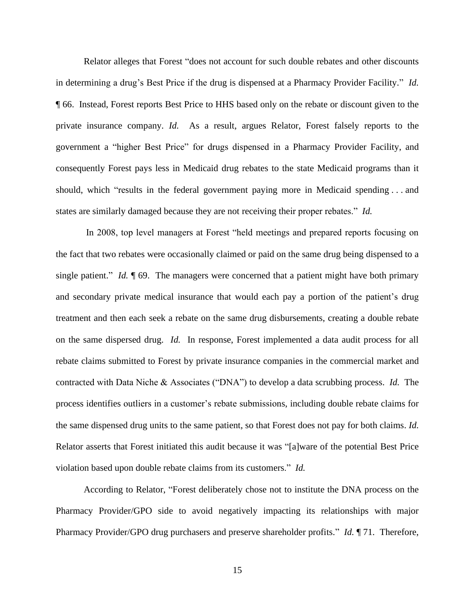Relator alleges that Forest "does not account for such double rebates and other discounts in determining a drug's Best Price if the drug is dispensed at a Pharmacy Provider Facility." *Id.*  ¶ 66. Instead, Forest reports Best Price to HHS based only on the rebate or discount given to the private insurance company. *Id.* As a result, argues Relator, Forest falsely reports to the government a "higher Best Price" for drugs dispensed in a Pharmacy Provider Facility, and consequently Forest pays less in Medicaid drug rebates to the state Medicaid programs than it should, which "results in the federal government paying more in Medicaid spending . . . and states are similarly damaged because they are not receiving their proper rebates." *Id.* 

In 2008, top level managers at Forest "held meetings and prepared reports focusing on the fact that two rebates were occasionally claimed or paid on the same drug being dispensed to a single patient." *Id.* 169. The managers were concerned that a patient might have both primary and secondary private medical insurance that would each pay a portion of the patient's drug treatment and then each seek a rebate on the same drug disbursements, creating a double rebate on the same dispersed drug. *Id.* In response, Forest implemented a data audit process for all rebate claims submitted to Forest by private insurance companies in the commercial market and contracted with Data Niche & Associates ("DNA") to develop a data scrubbing process. *Id.* The process identifies outliers in a customer's rebate submissions, including double rebate claims for the same dispensed drug units to the same patient, so that Forest does not pay for both claims. *Id.*  Relator asserts that Forest initiated this audit because it was "[a]ware of the potential Best Price violation based upon double rebate claims from its customers." *Id.*

According to Relator, "Forest deliberately chose not to institute the DNA process on the Pharmacy Provider/GPO side to avoid negatively impacting its relationships with major Pharmacy Provider/GPO drug purchasers and preserve shareholder profits." *Id.* ¶ 71. Therefore,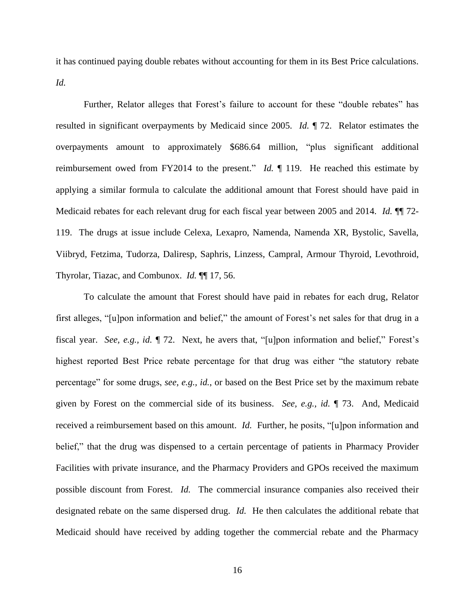it has continued paying double rebates without accounting for them in its Best Price calculations. *Id.*

Further, Relator alleges that Forest's failure to account for these "double rebates" has resulted in significant overpayments by Medicaid since 2005. *Id.* ¶ 72. Relator estimates the overpayments amount to approximately \$686.64 million, "plus significant additional reimbursement owed from FY2014 to the present." *Id.* ¶ 119. He reached this estimate by applying a similar formula to calculate the additional amount that Forest should have paid in Medicaid rebates for each relevant drug for each fiscal year between 2005 and 2014. *Id.* ¶¶ 72- 119. The drugs at issue include Celexa, Lexapro, Namenda, Namenda XR, Bystolic, Savella, Viibryd, Fetzima, Tudorza, Daliresp, Saphris, Linzess, Campral, Armour Thyroid, Levothroid, Thyrolar, Tiazac, and Combunox. *Id.* ¶¶ 17, 56.

To calculate the amount that Forest should have paid in rebates for each drug, Relator first alleges, "[u]pon information and belief," the amount of Forest's net sales for that drug in a fiscal year. *See, e.g., id.* ¶ 72. Next, he avers that, "[u]pon information and belief," Forest's highest reported Best Price rebate percentage for that drug was either "the statutory rebate percentage" for some drugs, *see, e.g., id.*, or based on the Best Price set by the maximum rebate given by Forest on the commercial side of its business. *See, e.g., id.* ¶ 73. And, Medicaid received a reimbursement based on this amount. *Id.* Further, he posits, "[u]pon information and belief," that the drug was dispensed to a certain percentage of patients in Pharmacy Provider Facilities with private insurance, and the Pharmacy Providers and GPOs received the maximum possible discount from Forest. *Id.* The commercial insurance companies also received their designated rebate on the same dispersed drug. *Id.* He then calculates the additional rebate that Medicaid should have received by adding together the commercial rebate and the Pharmacy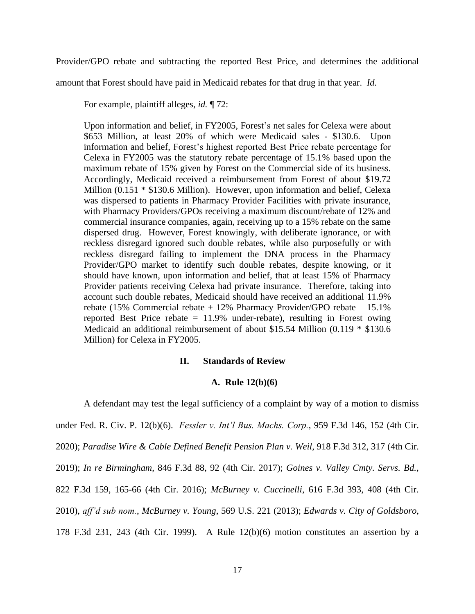Provider/GPO rebate and subtracting the reported Best Price, and determines the additional

amount that Forest should have paid in Medicaid rebates for that drug in that year. *Id.* 

For example, plaintiff alleges, *id.* ¶ 72:

Upon information and belief, in FY2005, Forest's net sales for Celexa were about \$653 Million, at least 20% of which were Medicaid sales - \$130.6. Upon information and belief, Forest's highest reported Best Price rebate percentage for Celexa in FY2005 was the statutory rebate percentage of 15.1% based upon the maximum rebate of 15% given by Forest on the Commercial side of its business. Accordingly, Medicaid received a reimbursement from Forest of about \$19.72 Million (0.151 \* \$130.6 Million). However, upon information and belief, Celexa was dispersed to patients in Pharmacy Provider Facilities with private insurance, with Pharmacy Providers/GPOs receiving a maximum discount/rebate of 12% and commercial insurance companies, again, receiving up to a 15% rebate on the same dispersed drug. However, Forest knowingly, with deliberate ignorance, or with reckless disregard ignored such double rebates, while also purposefully or with reckless disregard failing to implement the DNA process in the Pharmacy Provider/GPO market to identify such double rebates, despite knowing, or it should have known, upon information and belief, that at least 15% of Pharmacy Provider patients receiving Celexa had private insurance. Therefore, taking into account such double rebates, Medicaid should have received an additional 11.9% rebate (15% Commercial rebate + 12% Pharmacy Provider/GPO rebate – 15.1% reported Best Price rebate  $= 11.9\%$  under-rebate), resulting in Forest owing Medicaid an additional reimbursement of about \$15.54 Million (0.119 \* \$130.6 Million) for Celexa in FY2005.

#### **II. Standards of Review**

#### **A. Rule 12(b)(6)**

A defendant may test the legal sufficiency of a complaint by way of a motion to dismiss under Fed. R. Civ. P. 12(b)(6). *Fessler v. Int'l Bus. Machs. Corp.*, 959 F.3d 146, 152 (4th Cir. 2020); *Paradise Wire & Cable Defined Benefit Pension Plan v. Weil*, 918 F.3d 312, 317 (4th Cir. 2019); *In re Birmingham*, 846 F.3d 88, 92 (4th Cir. 2017); *Goines v. Valley Cmty. Servs. Bd.*, 822 F.3d 159, 165-66 (4th Cir. 2016); *McBurney v. Cuccinelli*, 616 F.3d 393, 408 (4th Cir. 2010), *aff'd sub nom.*, *McBurney v. Young*, 569 U.S. 221 (2013); *Edwards v. City of Goldsboro*, 178 F.3d 231, 243 (4th Cir. 1999). A Rule 12(b)(6) motion constitutes an assertion by a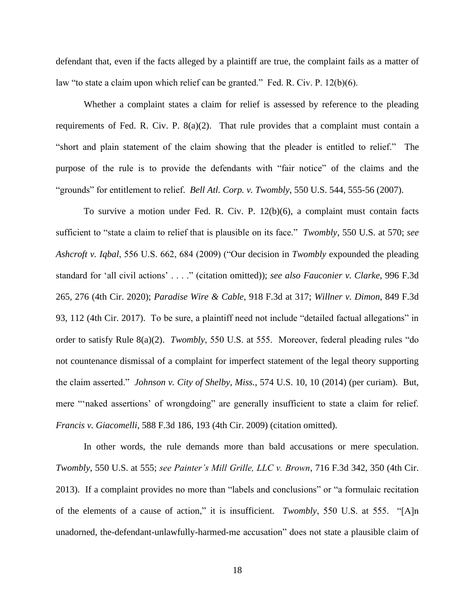defendant that, even if the facts alleged by a plaintiff are true, the complaint fails as a matter of law "to state a claim upon which relief can be granted." Fed. R. Civ. P. 12(b)(6).

Whether a complaint states a claim for relief is assessed by reference to the pleading requirements of Fed. R. Civ. P. 8(a)(2). That rule provides that a complaint must contain a "short and plain statement of the claim showing that the pleader is entitled to relief." The purpose of the rule is to provide the defendants with "fair notice" of the claims and the "grounds" for entitlement to relief. *Bell Atl. Corp. v. Twombly*, 550 U.S. 544, 555-56 (2007).

To survive a motion under Fed. R. Civ. P. 12(b)(6), a complaint must contain facts sufficient to "state a claim to relief that is plausible on its face." *Twombly*, 550 U.S. at 570; *see Ashcroft v. Iqbal*, 556 U.S. 662, 684 (2009) ("Our decision in *Twombly* expounded the pleading standard for 'all civil actions' . . . ." (citation omitted)); *see also Fauconier v. Clarke*, 996 F.3d 265, 276 (4th Cir. 2020); *Paradise Wire & Cable*, 918 F.3d at 317; *Willner v. Dimon*, 849 F.3d 93, 112 (4th Cir. 2017). To be sure, a plaintiff need not include "detailed factual allegations" in order to satisfy Rule 8(a)(2). *Twombly*, 550 U.S. at 555. Moreover, federal pleading rules "do not countenance dismissal of a complaint for imperfect statement of the legal theory supporting the claim asserted." *Johnson v. City of Shelby*, *Miss.*, 574 U.S. 10, 10 (2014) (per curiam).But, mere "'naked assertions' of wrongdoing" are generally insufficient to state a claim for relief. *Francis v. Giacomelli*, 588 F.3d 186, 193 (4th Cir. 2009) (citation omitted).

In other words, the rule demands more than bald accusations or mere speculation. *Twombly*, 550 U.S. at 555; *see Painter's Mill Grille, LLC v. Brown*, 716 F.3d 342, 350 (4th Cir. 2013). If a complaint provides no more than "labels and conclusions" or "a formulaic recitation of the elements of a cause of action," it is insufficient. *Twombly*, 550 U.S. at 555. "[A]n unadorned, the-defendant-unlawfully-harmed-me accusation" does not state a plausible claim of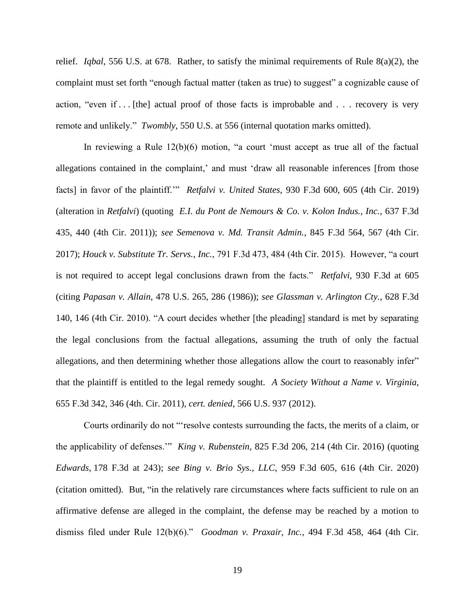relief. *Iqbal*, 556 U.S. at 678. Rather, to satisfy the minimal requirements of Rule 8(a)(2), the complaint must set forth "enough factual matter (taken as true) to suggest" a cognizable cause of action, "even if . . . [the] actual proof of those facts is improbable and . . . recovery is very remote and unlikely." *Twombly*, 550 U.S. at 556 (internal quotation marks omitted).

In reviewing a Rule 12(b)(6) motion, "a court 'must accept as true all of the factual allegations contained in the complaint,' and must 'draw all reasonable inferences [from those facts] in favor of the plaintiff.'" *Retfalvi v. United States*, 930 F.3d 600, 605 (4th Cir. 2019) (alteration in *Retfalvi*) (quoting *E.I. du Pont de Nemours & Co. v. Kolon Indus., Inc.*, 637 F.3d 435, 440 (4th Cir. 2011)); *see Semenova v. Md. Transit Admin.*, 845 F.3d 564, 567 (4th Cir. 2017); *Houck v. Substitute Tr. Servs., Inc.*, 791 F.3d 473, 484 (4th Cir. 2015). However, "a court is not required to accept legal conclusions drawn from the facts." *Retfalvi*, 930 F.3d at 605 (citing *Papasan v. Allain*, 478 U.S. 265, 286 (1986)); *see Glassman v. Arlington Cty.*, 628 F.3d 140, 146 (4th Cir. 2010). "A court decides whether [the pleading] standard is met by separating the legal conclusions from the factual allegations, assuming the truth of only the factual allegations, and then determining whether those allegations allow the court to reasonably infer" that the plaintiff is entitled to the legal remedy sought. *A Society Without a Name v. Virginia*, 655 F.3d 342, 346 (4th. Cir. 2011), *cert. denied*, 566 U.S. 937 (2012).

Courts ordinarily do not "'resolve contests surrounding the facts, the merits of a claim, or the applicability of defenses.'" *King v. Rubenstein*, 825 F.3d 206, 214 (4th Cir. 2016) (quoting *Edwards*, 178 F.3d at 243); *see Bing v. Brio Sys., LLC*, 959 F.3d 605, 616 (4th Cir. 2020) (citation omitted). But, "in the relatively rare circumstances where facts sufficient to rule on an affirmative defense are alleged in the complaint, the defense may be reached by a motion to dismiss filed under Rule 12(b)(6)." *Goodman v. Praxair, Inc.,* 494 F.3d 458, 464 (4th Cir.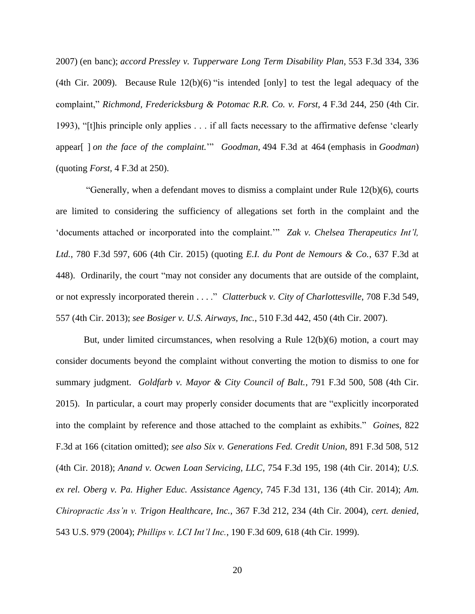2007) (en banc); *accord Pressley v. Tupperware Long Term Disability Plan,* 553 F.3d 334, 336 (4th Cir. 2009). Because Rule  $12(b)(6)$  "is intended [only] to test the legal adequacy of the complaint," *Richmond, Fredericksburg & Potomac R.R. Co. v. Forst,* 4 F.3d 244, 250 (4th Cir. 1993), "[t]his principle only applies . . . if all facts necessary to the affirmative defense 'clearly appear[ ] *on the face of the complaint.*'" *Goodman,* 494 F.3d at 464 (emphasis in *Goodman*) (quoting *Forst,* 4 F.3d at 250).

"Generally, when a defendant moves to dismiss a complaint under Rule  $12(b)(6)$ , courts are limited to considering the sufficiency of allegations set forth in the complaint and the 'documents attached or incorporated into the complaint.'" *Zak v. Chelsea Therapeutics Int'l, Ltd.*, 780 F.3d 597, 606 (4th Cir. 2015) (quoting *E.I. du Pont de Nemours & Co.*, 637 F.3d at 448). Ordinarily, the court "may not consider any documents that are outside of the complaint, or not expressly incorporated therein . . . ." *Clatterbuck v. City of Charlottesville*, 708 F.3d 549, 557 (4th Cir. 2013); *see Bosiger v. U.S. Airways, Inc.*, 510 F.3d 442, 450 (4th Cir. 2007).

But, under limited circumstances, when resolving a Rule 12(b)(6) motion, a court may consider documents beyond the complaint without converting the motion to dismiss to one for summary judgment. *Goldfarb v. Mayor & City Council of Balt.*, 791 F.3d 500, 508 (4th Cir. 2015). In particular, a court may properly consider documents that are "explicitly incorporated into the complaint by reference and those attached to the complaint as exhibits." *Goines*, 822 F.3d at 166 (citation omitted); *see also Six v. Generations Fed. Credit Union*, 891 F.3d 508, 512 (4th Cir. 2018); *Anand v. Ocwen Loan Servicing, LLC*, 754 F.3d 195, 198 (4th Cir. 2014); *U.S. ex rel. Oberg v. Pa. Higher Educ. Assistance Agency*, 745 F.3d 131, 136 (4th Cir. 2014); *Am. Chiropractic Ass'n v. Trigon Healthcare, Inc.*, 367 F.3d 212, 234 (4th Cir. 2004), *cert. denied*, 543 U.S. 979 (2004); *Phillips v. LCI Int'l Inc.*, 190 F.3d 609, 618 (4th Cir. 1999).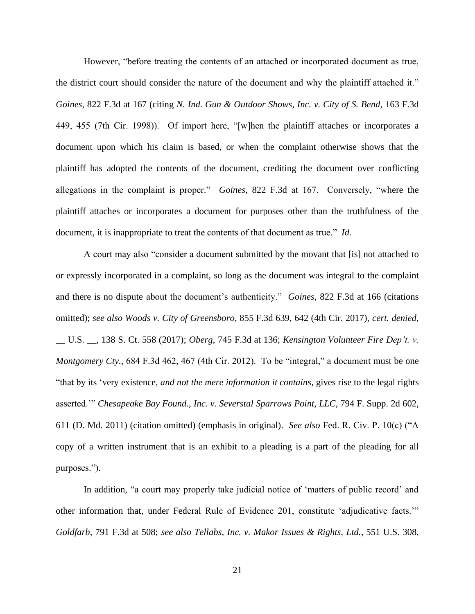However, "before treating the contents of an attached or incorporated document as true, the district court should consider the nature of the document and why the plaintiff attached it." *Goines*, 822 F.3d at 167 (citing *N. Ind. Gun & Outdoor Shows, Inc. v. City of S. Bend*, 163 F.3d 449, 455 (7th Cir. 1998)). Of import here, "[w]hen the plaintiff attaches or incorporates a document upon which his claim is based, or when the complaint otherwise shows that the plaintiff has adopted the contents of the document, crediting the document over conflicting allegations in the complaint is proper." *Goines*, 822 F.3d at 167. Conversely, "where the plaintiff attaches or incorporates a document for purposes other than the truthfulness of the document, it is inappropriate to treat the contents of that document as true." *Id.*

A court may also "consider a document submitted by the movant that [is] not attached to or expressly incorporated in a complaint, so long as the document was integral to the complaint and there is no dispute about the document's authenticity." *Goines*, 822 F.3d at 166 (citations omitted); *see also Woods v. City of Greensboro*, 855 F.3d 639, 642 (4th Cir. 2017), *cert. denied*, \_\_ U.S. \_\_, 138 S. Ct. 558 (2017); *Oberg*, 745 F.3d at 136; *Kensington Volunteer Fire Dep't. v. Montgomery Cty.*, 684 F.3d 462, 467 (4th Cir. 2012). To be "integral," a document must be one "that by its 'very existence, *and not the mere information it contains*, gives rise to the legal rights asserted.'" *Chesapeake Bay Found., Inc. v. Severstal Sparrows Point, LLC*, 794 F. Supp. 2d 602, 611 (D. Md. 2011) (citation omitted) (emphasis in original). *See also* Fed. R. Civ. P. 10(c) ("A copy of a written instrument that is an exhibit to a pleading is a part of the pleading for all purposes.").

In addition, "a court may properly take judicial notice of 'matters of public record' and other information that, under Federal Rule of Evidence 201, constitute 'adjudicative facts.'" *Goldfarb*, 791 F.3d at 508; *see also Tellabs, Inc. v. Makor Issues & Rights, Ltd.*, 551 U.S. 308,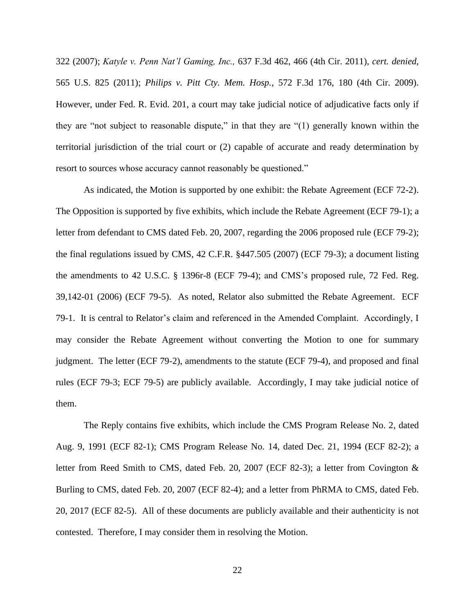322 (2007); *Katyle v. Penn Nat'l Gaming, Inc.,* 637 F.3d 462, 466 (4th Cir. 2011), *cert. denied*, 565 U.S. 825 (2011); *Philips v. Pitt Cty. Mem. Hosp.*, 572 F.3d 176, 180 (4th Cir. 2009). However, under Fed. R. Evid. 201, a court may take judicial notice of adjudicative facts only if they are "not subject to reasonable dispute," in that they are "(1) generally known within the territorial jurisdiction of the trial court or (2) capable of accurate and ready determination by resort to sources whose accuracy cannot reasonably be questioned."

As indicated, the Motion is supported by one exhibit: the Rebate Agreement (ECF 72-2). The Opposition is supported by five exhibits, which include the Rebate Agreement (ECF 79-1); a letter from defendant to CMS dated Feb. 20, 2007, regarding the 2006 proposed rule (ECF 79-2); the final regulations issued by CMS, 42 C.F.R. §447.505 (2007) (ECF 79-3); a document listing the amendments to 42 U.S.C. § 1396r-8 (ECF 79-4); and CMS's proposed rule, 72 Fed. Reg. 39,142-01 (2006) (ECF 79-5). As noted, Relator also submitted the Rebate Agreement. ECF 79-1. It is central to Relator's claim and referenced in the Amended Complaint. Accordingly, I may consider the Rebate Agreement without converting the Motion to one for summary judgment. The letter (ECF 79-2), amendments to the statute (ECF 79-4), and proposed and final rules (ECF 79-3; ECF 79-5) are publicly available. Accordingly, I may take judicial notice of them.

The Reply contains five exhibits, which include the CMS Program Release No. 2, dated Aug. 9, 1991 (ECF 82-1); CMS Program Release No. 14, dated Dec. 21, 1994 (ECF 82-2); a letter from Reed Smith to CMS, dated Feb. 20, 2007 (ECF 82-3); a letter from Covington & Burling to CMS, dated Feb. 20, 2007 (ECF 82-4); and a letter from PhRMA to CMS, dated Feb. 20, 2017 (ECF 82-5). All of these documents are publicly available and their authenticity is not contested. Therefore, I may consider them in resolving the Motion.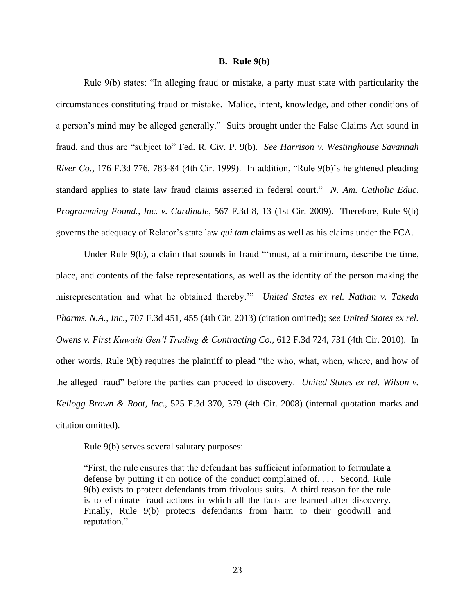#### **B. Rule 9(b)**

Rule 9(b) states: "In alleging fraud or mistake, a party must state with particularity the circumstances constituting fraud or mistake. Malice, intent, knowledge, and other conditions of a person's mind may be alleged generally." Suits brought under the False Claims Act sound in fraud, and thus are "subject to" Fed. R. Civ. P. 9(b). *See Harrison v. Westinghouse Savannah River Co.*, 176 F.3d 776, 783-84 (4th Cir. 1999). In addition, "Rule 9(b)'s heightened pleading standard applies to state law fraud claims asserted in federal court." *N. Am. Catholic Educ. Programming Found., Inc. v. Cardinale*, 567 F.3d 8, 13 (1st Cir. 2009). Therefore, Rule 9(b) governs the adequacy of Relator's state law *qui tam* claims as well as his claims under the FCA.

Under Rule 9(b), a claim that sounds in fraud "'must, at a minimum, describe the time, place, and contents of the false representations, as well as the identity of the person making the misrepresentation and what he obtained thereby.'" *United States ex rel. Nathan v. Takeda Pharms. N.A., Inc*., 707 F.3d 451, 455 (4th Cir. 2013) (citation omitted); *see United States ex rel. Owens v. First Kuwaiti Gen'l Trading & Contracting Co.,* 612 F.3d 724, 731 (4th Cir. 2010). In other words, Rule 9(b) requires the plaintiff to plead "the who, what, when, where, and how of the alleged fraud" before the parties can proceed to discovery. *United States ex rel. Wilson v. Kellogg Brown & Root, Inc.*, 525 F.3d 370, 379 (4th Cir. 2008) (internal quotation marks and citation omitted).

Rule 9(b) serves several salutary purposes:

"First, the rule ensures that the defendant has sufficient information to formulate a defense by putting it on notice of the conduct complained of. . . . Second, Rule 9(b) exists to protect defendants from frivolous suits. A third reason for the rule is to eliminate fraud actions in which all the facts are learned after discovery. Finally, Rule 9(b) protects defendants from harm to their goodwill and reputation."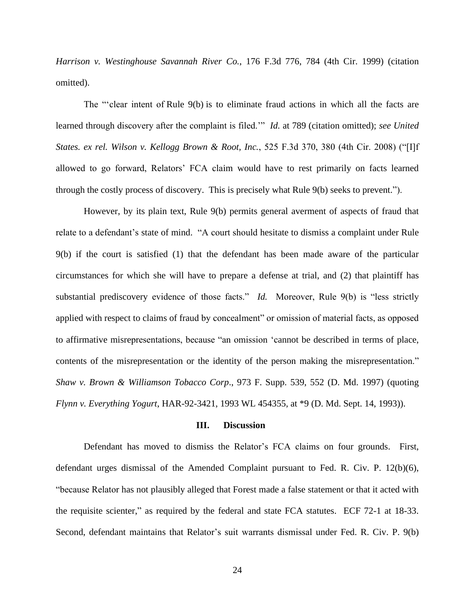*Harrison v. Westinghouse Savannah River Co.*, 176 F.3d 776, 784 (4th Cir. 1999) (citation omitted).

The "'clear intent of Rule 9(b) is to eliminate fraud actions in which all the facts are learned through discovery after the complaint is filed.'" *Id.* at 789 (citation omitted); *see United States. ex rel. Wilson v. Kellogg Brown & Root, Inc.*, 525 F.3d 370, 380 (4th Cir. 2008) ("[I]f allowed to go forward, Relators' FCA claim would have to rest primarily on facts learned through the costly process of discovery. This is precisely what Rule 9(b) seeks to prevent.").

However, by its plain text, Rule 9(b) permits general averment of aspects of fraud that relate to a defendant's state of mind. "A court should hesitate to dismiss a complaint under Rule 9(b) if the court is satisfied (1) that the defendant has been made aware of the particular circumstances for which she will have to prepare a defense at trial, and (2) that plaintiff has substantial prediscovery evidence of those facts." *Id.* Moreover, Rule 9(b) is "less strictly applied with respect to claims of fraud by concealment" or omission of material facts, as opposed to affirmative misrepresentations, because "an omission 'cannot be described in terms of place, contents of the misrepresentation or the identity of the person making the misrepresentation." *Shaw v. Brown & Williamson Tobacco Corp*., 973 F. Supp. 539, 552 (D. Md. 1997) (quoting *Flynn v. Everything Yogurt*, HAR-92-3421, 1993 WL 454355, at \*9 (D. Md. Sept. 14, 1993)).

#### **III. Discussion**

Defendant has moved to dismiss the Relator's FCA claims on four grounds. First, defendant urges dismissal of the Amended Complaint pursuant to Fed. R. Civ. P. 12(b)(6), "because Relator has not plausibly alleged that Forest made a false statement or that it acted with the requisite scienter," as required by the federal and state FCA statutes. ECF 72-1 at 18-33. Second, defendant maintains that Relator's suit warrants dismissal under Fed. R. Civ. P. 9(b)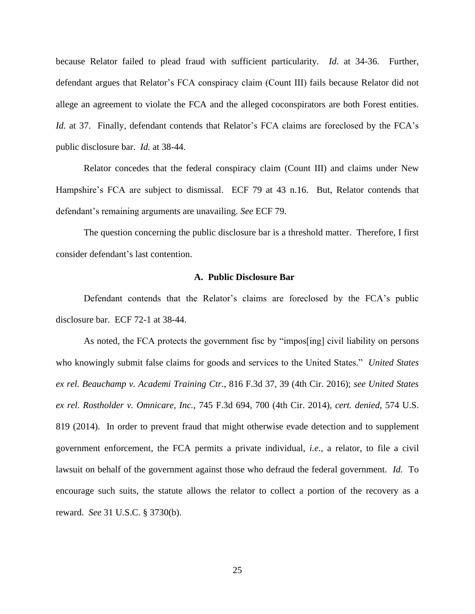because Relator failed to plead fraud with sufficient particularity. *Id.* at 34-36. Further, defendant argues that Relator's FCA conspiracy claim (Count III) fails because Relator did not allege an agreement to violate the FCA and the alleged coconspirators are both Forest entities. *Id.* at 37. Finally, defendant contends that Relator's FCA claims are foreclosed by the FCA's public disclosure bar. *Id.* at 38-44.

Relator concedes that the federal conspiracy claim (Count III) and claims under New Hampshire's FCA are subject to dismissal. ECF 79 at 43 n.16. But, Relator contends that defendant's remaining arguments are unavailing. *See* ECF 79.

The question concerning the public disclosure bar is a threshold matter. Therefore, I first consider defendant's last contention.

# **A. Public Disclosure Bar**

Defendant contends that the Relator's claims are foreclosed by the FCA's public disclosure bar. ECF 72-1 at 38-44.

As noted, the FCA protects the government fisc by "impos[ing] civil liability on persons who knowingly submit false claims for goods and services to the United States." *United States ex rel. Beauchamp v. Academi Training Ctr.*, 816 F.3d 37, 39 (4th Cir. 2016); *see United States ex rel. Rostholder v. Omnicare, Inc.*, 745 F.3d 694, 700 (4th Cir. 2014), *cert. denied*, 574 U.S. 819 (2014). In order to prevent fraud that might otherwise evade detection and to supplement government enforcement, the FCA permits a private individual, *i.e.*, a relator, to file a civil lawsuit on behalf of the government against those who defraud the federal government. *Id.* To encourage such suits, the statute allows the relator to collect a portion of the recovery as a reward. *See* 31 U.S.C. § 3730(b).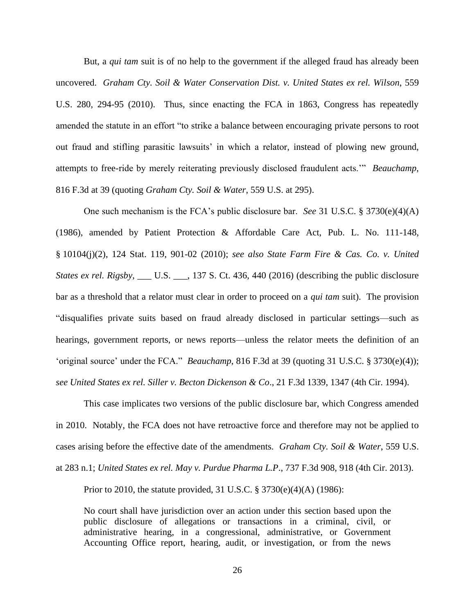But, a *qui tam* suit is of no help to the government if the alleged fraud has already been uncovered. *Graham Cty. Soil & Water Conservation Dist. v. United States ex rel. Wilson*, 559 U.S. 280, 294-95 (2010). Thus, since enacting the FCA in 1863, Congress has repeatedly amended the statute in an effort "to strike a balance between encouraging private persons to root out fraud and stifling parasitic lawsuits' in which a relator, instead of plowing new ground, attempts to free-ride by merely reiterating previously disclosed fraudulent acts.'" *Beauchamp*, 816 F.3d at 39 (quoting *Graham Cty. Soil & Water*, 559 U.S. at 295).

One such mechanism is the FCA's public disclosure bar. *See* 31 U.S.C. § 3730(e)(4)(A) (1986), amended by Patient Protection & Affordable Care Act, Pub. L. No. 111-148, § 10104(j)(2), 124 Stat. 119, 901-02 (2010); *see also State Farm Fire & Cas. Co. v. United States ex rel. Rigsby*, \_\_\_ U.S. \_\_\_, 137 S. Ct. 436, 440 (2016) (describing the public disclosure bar as a threshold that a relator must clear in order to proceed on a *qui tam* suit). The provision "disqualifies private suits based on fraud already disclosed in particular settings—such as hearings, government reports, or news reports—unless the relator meets the definition of an 'original source' under the FCA." *Beauchamp*, 816 F.3d at 39 (quoting 31 U.S.C. § 3730(e)(4)); *see United States ex rel. Siller v. Becton Dickenson & Co*., 21 F.3d 1339, 1347 (4th Cir. 1994).

This case implicates two versions of the public disclosure bar, which Congress amended in 2010. Notably, the FCA does not have retroactive force and therefore may not be applied to cases arising before the effective date of the amendments. *Graham Cty. Soil & Water*, 559 U.S. at 283 n.1; *United States ex rel. May v. Purdue Pharma L.P*., 737 F.3d 908, 918 (4th Cir. 2013).

Prior to 2010, the statute provided, 31 U.S.C. § 3730(e)(4)(A) (1986):

No court shall have jurisdiction over an action under this section based upon the public disclosure of allegations or transactions in a criminal, civil, or administrative hearing, in a congressional, administrative, or Government Accounting Office report, hearing, audit, or investigation, or from the news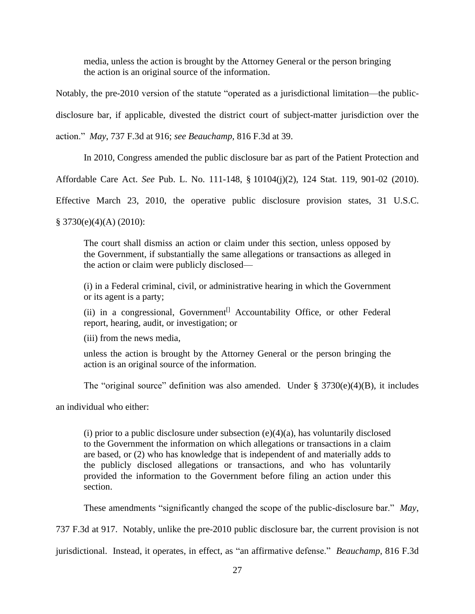media, unless the action is brought by the Attorney General or the person bringing the action is an original source of the information.

Notably, the pre-2010 version of the statute "operated as a jurisdictional limitation—the publicdisclosure bar, if applicable, divested the district court of subject-matter jurisdiction over the action." *May*, 737 F.3d at 916; *see Beauchamp*, 816 F.3d at 39.

In 2010, Congress amended the public disclosure bar as part of the Patient Protection and

Affordable Care Act. *See* Pub. L. No. 111-148, § 10104(j)(2), 124 Stat. 119, 901-02 (2010).

Effective March 23, 2010, the operative public disclosure provision states, 31 U.S.C.

 $§ 3730(e)(4)(A) (2010):$ 

The court shall dismiss an action or claim under this section, unless opposed by the Government, if substantially the same allegations or transactions as alleged in the action or claim were publicly disclosed—

(i) in a Federal criminal, civil, or administrative hearing in which the Government or its agent is a party;

(ii) in a congressional, Government<sup>[]</sup> Accountability Office, or other Federal report, hearing, audit, or investigation; or

(iii) from the news media,

unless the action is brought by the Attorney General or the person bringing the action is an original source of the information.

The "original source" definition was also amended. Under § 3730(e)(4)(B), it includes

an individual who either:

(i) prior to a public disclosure under subsection  $(e)(4)(a)$ , has voluntarily disclosed to the Government the information on which allegations or transactions in a claim are based, or (2) who has knowledge that is independent of and materially adds to the publicly disclosed allegations or transactions, and who has voluntarily provided the information to the Government before filing an action under this section.

These amendments "significantly changed the scope of the public-disclosure bar." *May*,

737 F.3d at 917. Notably, unlike the pre-2010 public disclosure bar, the current provision is not

jurisdictional. Instead, it operates, in effect, as "an affirmative defense." *Beauchamp*, 816 F.3d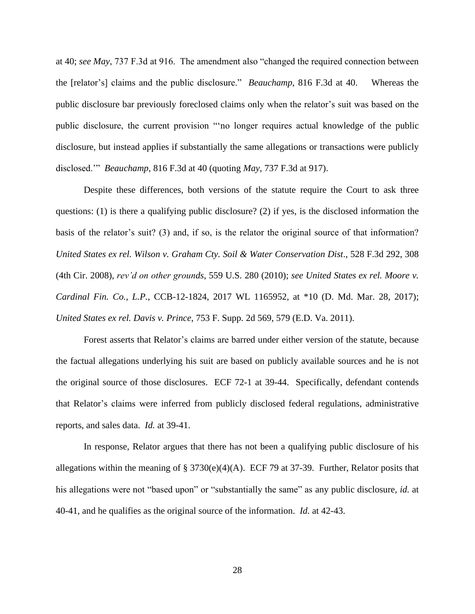at 40; *see May*, 737 F.3d at 916. The amendment also "changed the required connection between the [relator's] claims and the public disclosure." *Beauchamp*, 816 F.3d at 40. Whereas the public disclosure bar previously foreclosed claims only when the relator's suit was based on the public disclosure, the current provision "'no longer requires actual knowledge of the public disclosure, but instead applies if substantially the same allegations or transactions were publicly disclosed.'" *Beauchamp*, 816 F.3d at 40 (quoting *May*, 737 F.3d at 917).

Despite these differences, both versions of the statute require the Court to ask three questions: (1) is there a qualifying public disclosure? (2) if yes, is the disclosed information the basis of the relator's suit? (3) and, if so, is the relator the original source of that information? *United States ex rel. Wilson v. Graham Cty. Soil & Water Conservation Dist*., 528 F.3d 292, 308 (4th Cir. 2008), *rev'd on other grounds*, 559 U.S. 280 (2010); *see United States ex rel. Moore v. Cardinal Fin. Co., L.P.*, CCB-12-1824, 2017 WL 1165952, at \*10 (D. Md. Mar. 28, 2017); *United States ex rel. Davis v. Prince*, 753 F. Supp. 2d 569, 579 (E.D. Va. 2011).

Forest asserts that Relator's claims are barred under either version of the statute, because the factual allegations underlying his suit are based on publicly available sources and he is not the original source of those disclosures. ECF 72-1 at 39-44. Specifically, defendant contends that Relator's claims were inferred from publicly disclosed federal regulations, administrative reports, and sales data. *Id.* at 39-41.

In response, Relator argues that there has not been a qualifying public disclosure of his allegations within the meaning of § 3730(e)(4)(A). ECF 79 at 37-39. Further, Relator posits that his allegations were not "based upon" or "substantially the same" as any public disclosure, *id.* at 40-41, and he qualifies as the original source of the information. *Id.* at 42-43.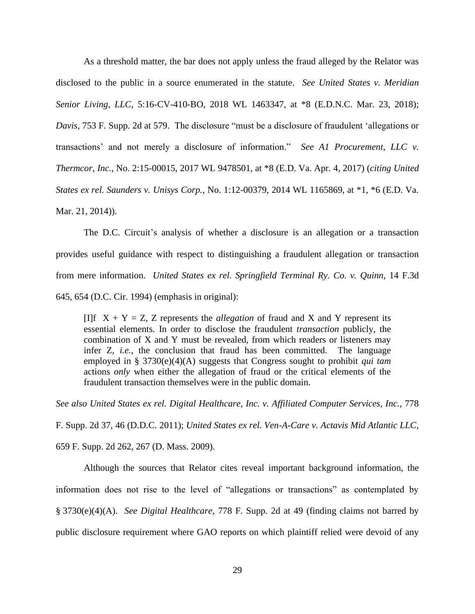As a threshold matter, the bar does not apply unless the fraud alleged by the Relator was disclosed to the public in a source enumerated in the statute. *See United States v. Meridian Senior Living, LLC*, 5:16-CV-410-BO, 2018 WL 1463347, at \*8 (E.D.N.C. Mar. 23, 2018); *Davis*, 753 F. Supp. 2d at 579. The disclosure "must be a disclosure of fraudulent 'allegations or transactions' and not merely a disclosure of information." *See A1 Procurement, LLC v. Thermcor, Inc.*, No. 2:15-00015, 2017 WL 9478501, at \*8 (E.D. Va. Apr. 4, 2017) (*citing United States ex rel. Saunders v. Unisys Corp.*, No. 1:12-00379, 2014 WL 1165869, at \*1, \*6 (E.D. Va. Mar. 21, 2014)).

The D.C. Circuit's analysis of whether a disclosure is an allegation or a transaction provides useful guidance with respect to distinguishing a fraudulent allegation or transaction from mere information. *United States ex rel. Springfield Terminal Ry. Co. v. Quinn*, 14 F.3d 645, 654 (D.C. Cir. 1994) (emphasis in original):

[I]f  $X + Y = Z$ , Z represents the *allegation* of fraud and X and Y represent its essential elements. In order to disclose the fraudulent *transaction* publicly, the combination of X and Y must be revealed, from which readers or listeners may infer Z, *i.e.*, the conclusion that fraud has been committed. The language employed in § 3730(e)(4)(A) suggests that Congress sought to prohibit *qui tam* actions *only* when either the allegation of fraud or the critical elements of the fraudulent transaction themselves were in the public domain.

*See also United States ex rel. Digital Healthcare, Inc. v. Affiliated Computer Services, Inc.*, 778

F. Supp. 2d 37, 46 (D.D.C. 2011); *United States ex rel. Ven-A-Care v. Actavis Mid Atlantic LLC*,

659 F. Supp. 2d 262, 267 (D. Mass. 2009).

Although the sources that Relator cites reveal important background information, the information does not rise to the level of "allegations or transactions" as contemplated by § 3730(e)(4)(A). *See Digital Healthcare*, 778 F. Supp. 2d at 49 (finding claims not barred by public disclosure requirement where GAO reports on which plaintiff relied were devoid of any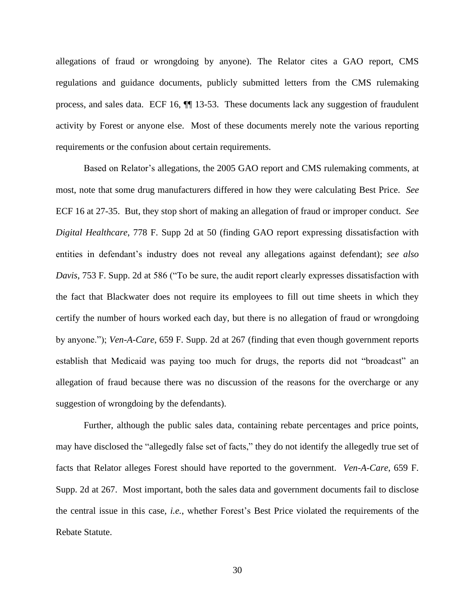allegations of fraud or wrongdoing by anyone). The Relator cites a GAO report, CMS regulations and guidance documents, publicly submitted letters from the CMS rulemaking process, and sales data. ECF 16, ¶¶ 13-53. These documents lack any suggestion of fraudulent activity by Forest or anyone else. Most of these documents merely note the various reporting requirements or the confusion about certain requirements.

Based on Relator's allegations, the 2005 GAO report and CMS rulemaking comments, at most, note that some drug manufacturers differed in how they were calculating Best Price. *See* ECF 16 at 27-35. But, they stop short of making an allegation of fraud or improper conduct. *See Digital Healthcare*, 778 F. Supp 2d at 50 (finding GAO report expressing dissatisfaction with entities in defendant's industry does not reveal any allegations against defendant); *see also Davis*, 753 F. Supp. 2d at 586 ("To be sure, the audit report clearly expresses dissatisfaction with the fact that Blackwater does not require its employees to fill out time sheets in which they certify the number of hours worked each day, but there is no allegation of fraud or wrongdoing by anyone."); *Ven-A-Care*, 659 F. Supp. 2d at 267 (finding that even though government reports establish that Medicaid was paying too much for drugs, the reports did not "broadcast" an allegation of fraud because there was no discussion of the reasons for the overcharge or any suggestion of wrongdoing by the defendants).

Further, although the public sales data, containing rebate percentages and price points, may have disclosed the "allegedly false set of facts," they do not identify the allegedly true set of facts that Relator alleges Forest should have reported to the government. *Ven-A-Care*, 659 F. Supp. 2d at 267. Most important, both the sales data and government documents fail to disclose the central issue in this case, *i.e.*, whether Forest's Best Price violated the requirements of the Rebate Statute.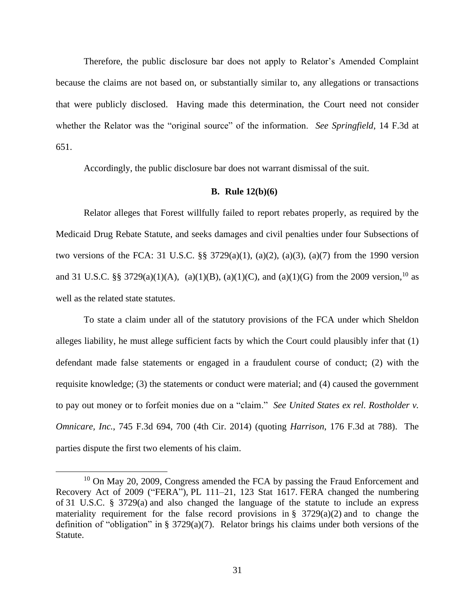Therefore, the public disclosure bar does not apply to Relator's Amended Complaint because the claims are not based on, or substantially similar to, any allegations or transactions that were publicly disclosed. Having made this determination, the Court need not consider whether the Relator was the "original source" of the information. *See Springfield*, 14 F.3d at 651.

Accordingly, the public disclosure bar does not warrant dismissal of the suit.

# **B. Rule 12(b)(6)**

Relator alleges that Forest willfully failed to report rebates properly, as required by the Medicaid Drug Rebate Statute, and seeks damages and civil penalties under four Subsections of two versions of the FCA: 31 U.S.C. §§ 3729(a)(1), (a)(2), (a)(3), (a)(7) from the 1990 version and 31 U.S.C. §§ 3729(a)(1)(A), (a)(1)(B), (a)(1)(C), and (a)(1)(G) from the 2009 version, <sup>10</sup> as well as the related state statutes.

To state a claim under all of the statutory provisions of the FCA under which Sheldon alleges liability, he must allege sufficient facts by which the Court could plausibly infer that (1) defendant made false statements or engaged in a fraudulent course of conduct; (2) with the requisite knowledge; (3) the statements or conduct were material; and (4) caused the government to pay out money or to forfeit monies due on a "claim." *See United States ex rel. Rostholder v. Omnicare, Inc.*, 745 F.3d 694, 700 (4th Cir. 2014) (quoting *Harrison*, 176 F.3d at 788). The parties dispute the first two elements of his claim.

 $10$  On May 20, 2009, Congress amended the FCA by passing the Fraud Enforcement and Recovery Act of 2009 ("FERA"), PL 111–21, 123 Stat 1617. FERA changed the numbering of 31 U.S.C. § 3729(a) and also changed the language of the statute to include an express materiality requirement for the false record provisions in  $\S$  3729(a)(2) and to change the definition of "obligation" in § 3729(a)(7). Relator brings his claims under both versions of the Statute.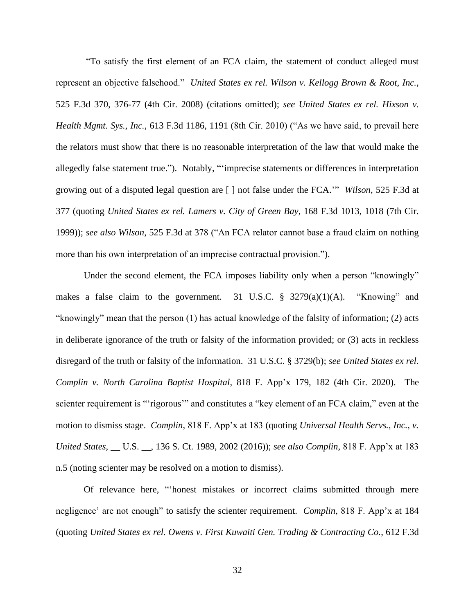"To satisfy the first element of an FCA claim, the statement of conduct alleged must represent an objective falsehood." *United States ex rel. Wilson v. Kellogg Brown & Root, Inc.*, 525 F.3d 370, 376-77 (4th Cir. 2008) (citations omitted); *see United States ex rel. Hixson v. Health Mgmt. Sys., Inc.*, 613 F.3d 1186, 1191 (8th Cir. 2010) ("As we have said, to prevail here the relators must show that there is no reasonable interpretation of the law that would make the allegedly false statement true."). Notably, "'imprecise statements or differences in interpretation growing out of a disputed legal question are [ ] not false under the FCA.'" *Wilson*, 525 F.3d at 377 (quoting *United States ex rel. Lamers v. City of Green Bay*, 168 F.3d 1013, 1018 (7th Cir. 1999)); *see also Wilson*, 525 F.3d at 378 ("An FCA relator cannot base a fraud claim on nothing more than his own interpretation of an imprecise contractual provision.").

Under the second element, the FCA imposes liability only when a person "knowingly" makes a false claim to the government. 31 U.S.C. § 3279(a)(1)(A). "Knowing" and "knowingly" mean that the person (1) has actual knowledge of the falsity of information; (2) acts in deliberate ignorance of the truth or falsity of the information provided; or (3) acts in reckless disregard of the truth or falsity of the information. 31 U.S.C. § 3729(b); *see United States ex rel. Complin v. North Carolina Baptist Hospital*, 818 F. App'x 179, 182 (4th Cir. 2020). The scienter requirement is "'rigorous'" and constitutes a "key element of an FCA claim," even at the motion to dismiss stage. *Complin*, 818 F. App'x at 183 (quoting *Universal Health Servs., Inc., v. United States*, \_\_ U.S. \_\_, 136 S. Ct. 1989, 2002 (2016)); *see also Complin*, 818 F. App'x at 183 n.5 (noting scienter may be resolved on a motion to dismiss).

Of relevance here, "'honest mistakes or incorrect claims submitted through mere negligence' are not enough" to satisfy the scienter requirement. *Complin*, 818 F. App'x at 184 (quoting *United States ex rel. Owens v. First Kuwaiti Gen. Trading & Contracting Co.*, 612 F.3d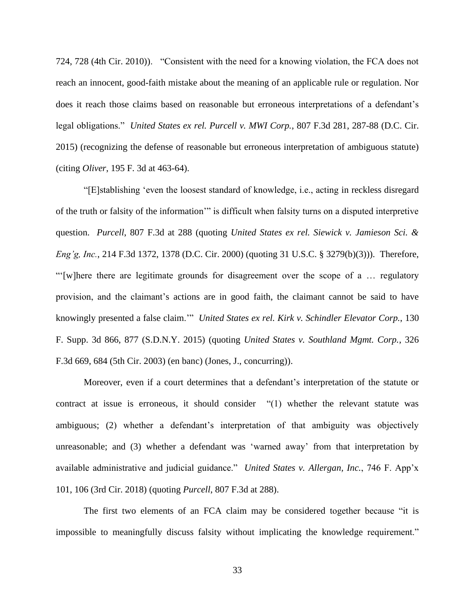724, 728 (4th Cir. 2010)). "Consistent with the need for a knowing violation, the FCA does not reach an innocent, good-faith mistake about the meaning of an applicable rule or regulation. Nor does it reach those claims based on reasonable but erroneous interpretations of a defendant's legal obligations." *United States ex rel. Purcell v. MWI Corp.*, 807 F.3d 281, 287-88 (D.C. Cir. 2015) (recognizing the defense of reasonable but erroneous interpretation of ambiguous statute) (citing *Oliver*, 195 F. 3d at 463-64).

"[E]stablishing 'even the loosest standard of knowledge, i.e., acting in reckless disregard of the truth or falsity of the information'" is difficult when falsity turns on a disputed interpretive question. *Purcell*, 807 F.3d at 288 (quoting *United States ex rel. Siewick v. Jamieson Sci. & Eng'g, Inc.*, 214 F.3d 1372, 1378 (D.C. Cir. 2000) (quoting 31 U.S.C. § 3279(b)(3))). Therefore, "'[w]here there are legitimate grounds for disagreement over the scope of a … regulatory provision, and the claimant's actions are in good faith, the claimant cannot be said to have knowingly presented a false claim.'" *United States ex rel. Kirk v. Schindler Elevator Corp.*, 130 F. Supp. 3d 866, 877 (S.D.N.Y. 2015) (quoting *United States v. Southland Mgmt. Corp.*, 326 F.3d 669, 684 (5th Cir. 2003) (en banc) (Jones, J., concurring)).

Moreover, even if a court determines that a defendant's interpretation of the statute or contract at issue is erroneous, it should consider "(1) whether the relevant statute was ambiguous; (2) whether a defendant's interpretation of that ambiguity was objectively unreasonable; and (3) whether a defendant was 'warned away' from that interpretation by available administrative and judicial guidance." *United States v. Allergan, Inc.*, 746 F. App'x 101, 106 (3rd Cir. 2018) (quoting *Purcell*, 807 F.3d at 288).

The first two elements of an FCA claim may be considered together because "it is impossible to meaningfully discuss falsity without implicating the knowledge requirement."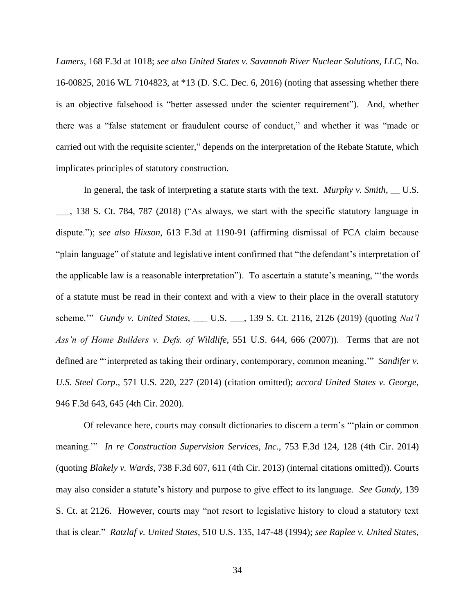*Lamers*, 168 F.3d at 1018; *see also United States v. Savannah River Nuclear Solutions, LLC*, No. 16-00825, 2016 WL 7104823, at \*13 (D. S.C. Dec. 6, 2016) (noting that assessing whether there is an objective falsehood is "better assessed under the scienter requirement"). And, whether there was a "false statement or fraudulent course of conduct," and whether it was "made or carried out with the requisite scienter," depends on the interpretation of the Rebate Statute, which implicates principles of statutory construction.

In general, the task of interpreting a statute starts with the text. *Murphy v. Smith*, \_\_ U.S. \_\_\_, 138 S. Ct. 784, 787 (2018) ("As always, we start with the specific statutory language in dispute."); *see also Hixson*, 613 F.3d at 1190-91 (affirming dismissal of FCA claim because "plain language" of statute and legislative intent confirmed that "the defendant's interpretation of the applicable law is a reasonable interpretation"). To ascertain a statute's meaning, "'the words of a statute must be read in their context and with a view to their place in the overall statutory scheme.'" *Gundy v. United States*, \_\_\_ U.S. \_\_\_, 139 S. Ct. 2116, 2126 (2019) (quoting *Nat'l Ass'n of Home Builders v. Defs. of Wildlife*, 551 U.S. 644, 666 (2007)). Terms that are not defined are "'interpreted as taking their ordinary, contemporary, common meaning.'" *Sandifer v. U.S. Steel Corp*., 571 U.S. 220, 227 (2014) (citation omitted); *accord United States v. George*, 946 F.3d 643, 645 (4th Cir. 2020).

Of relevance here, courts may consult dictionaries to discern a term's "'plain or common meaning.'" *In re Construction Supervision Services, Inc.*, 753 F.3d 124, 128 (4th Cir. 2014) (quoting *Blakely v. Wards*, 738 F.3d 607, 611 (4th Cir. 2013) (internal citations omitted)). Courts may also consider a statute's history and purpose to give effect to its language. *See Gundy*, 139 S. Ct. at 2126. However, courts may "not resort to legislative history to cloud a statutory text that is clear." *Ratzlaf v. United States*, 510 U.S. 135, 147-48 (1994); *see Raplee v. United States*,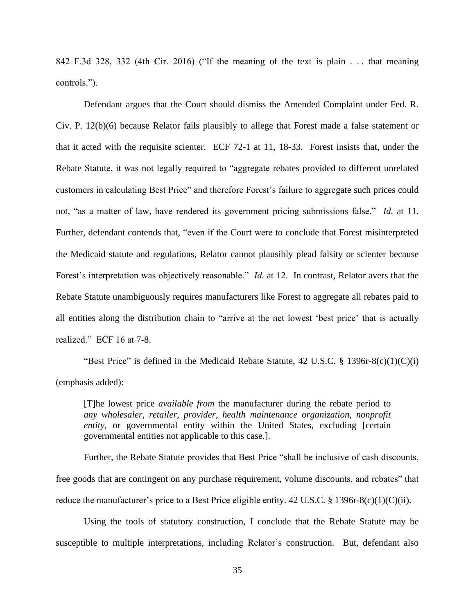842 F.3d 328, 332 (4th Cir. 2016) ("If the meaning of the text is plain . . . that meaning controls.").

Defendant argues that the Court should dismiss the Amended Complaint under Fed. R. Civ. P. 12(b)(6) because Relator fails plausibly to allege that Forest made a false statement or that it acted with the requisite scienter. ECF 72-1 at 11, 18-33. Forest insists that, under the Rebate Statute, it was not legally required to "aggregate rebates provided to different unrelated customers in calculating Best Price" and therefore Forest's failure to aggregate such prices could not, "as a matter of law, have rendered its government pricing submissions false." *Id.* at 11. Further, defendant contends that, "even if the Court were to conclude that Forest misinterpreted the Medicaid statute and regulations, Relator cannot plausibly plead falsity or scienter because Forest's interpretation was objectively reasonable." *Id.* at 12. In contrast, Relator avers that the Rebate Statute unambiguously requires manufacturers like Forest to aggregate all rebates paid to all entities along the distribution chain to "arrive at the net lowest 'best price' that is actually realized." ECF 16 at 7-8.

"Best Price" is defined in the Medicaid Rebate Statute,  $42 \text{ U.S.C. }$  §  $1396r-8(c)(1)(C)(i)$ (emphasis added):

[T]he lowest price *available from* the manufacturer during the rebate period to *any wholesaler, retailer, provider, health maintenance organization, nonprofit entity*, or governmental entity within the United States, excluding [certain governmental entities not applicable to this case.].

Further, the Rebate Statute provides that Best Price "shall be inclusive of cash discounts, free goods that are contingent on any purchase requirement, volume discounts, and rebates" that reduce the manufacturer's price to a Best Price eligible entity. 42 U.S.C. § 1396r-8(c)(1)(C)(ii).

Using the tools of statutory construction, I conclude that the Rebate Statute may be susceptible to multiple interpretations, including Relator's construction. But, defendant also

35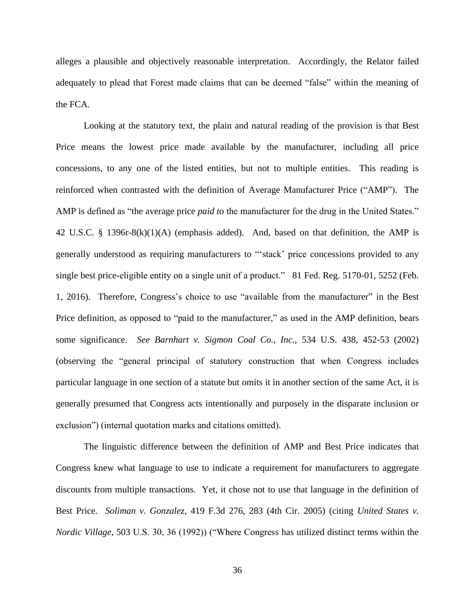alleges a plausible and objectively reasonable interpretation. Accordingly, the Relator failed adequately to plead that Forest made claims that can be deemed "false" within the meaning of the FCA.

Looking at the statutory text, the plain and natural reading of the provision is that Best Price means the lowest price made available by the manufacturer, including all price concessions, to any one of the listed entities, but not to multiple entities. This reading is reinforced when contrasted with the definition of Average Manufacturer Price ("AMP"). The AMP is defined as "the average price *paid to* the manufacturer for the drug in the United States." 42 U.S.C. § 1396r-8(k)(1)(A) (emphasis added). And, based on that definition, the AMP is generally understood as requiring manufacturers to "'stack' price concessions provided to any single best price-eligible entity on a single unit of a product." 81 Fed. Reg. 5170-01, 5252 (Feb. 1, 2016). Therefore, Congress's choice to use "available from the manufacturer" in the Best Price definition, as opposed to "paid to the manufacturer," as used in the AMP definition, bears some significance. *See Barnhart v. Sigmon Coal Co., Inc.*, 534 U.S. 438, 452-53 (2002) (observing the "general principal of statutory construction that when Congress includes particular language in one section of a statute but omits it in another section of the same Act, it is generally presumed that Congress acts intentionally and purposely in the disparate inclusion or exclusion") (internal quotation marks and citations omitted).

The linguistic difference between the definition of AMP and Best Price indicates that Congress knew what language to use to indicate a requirement for manufacturers to aggregate discounts from multiple transactions. Yet, it chose not to use that language in the definition of Best Price. *Soliman v. Gonzalez*, 419 F.3d 276, 283 (4th Cir. 2005) (citing *United States v. Nordic Village*, 503 U.S. 30, 36 (1992)) ("Where Congress has utilized distinct terms within the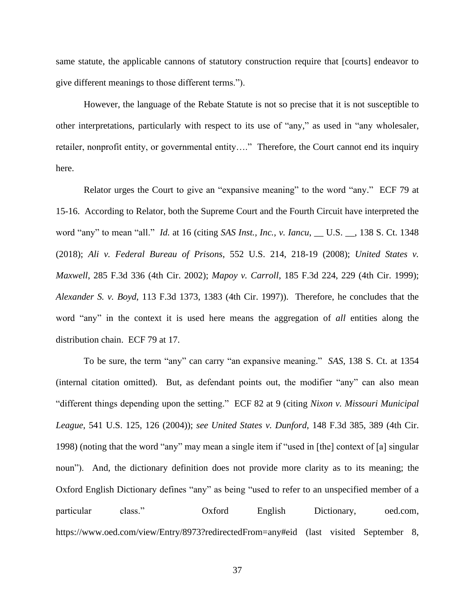same statute, the applicable cannons of statutory construction require that [courts] endeavor to give different meanings to those different terms.").

However, the language of the Rebate Statute is not so precise that it is not susceptible to other interpretations, particularly with respect to its use of "any," as used in "any wholesaler, retailer, nonprofit entity, or governmental entity…." Therefore, the Court cannot end its inquiry here.

Relator urges the Court to give an "expansive meaning" to the word "any." ECF 79 at 15-16. According to Relator, both the Supreme Court and the Fourth Circuit have interpreted the word "any" to mean "all." *Id.* at 16 (citing *SAS Inst., Inc., v. Iancu*, \_\_ U.S. \_\_, 138 S. Ct. 1348 (2018); *Ali v. Federal Bureau of Prisons*, 552 U.S. 214, 218-19 (2008); *United States v. Maxwell*, 285 F.3d 336 (4th Cir. 2002); *Mapoy v. Carroll*, 185 F.3d 224, 229 (4th Cir. 1999); *Alexander S. v. Boyd*, 113 F.3d 1373, 1383 (4th Cir. 1997)). Therefore, he concludes that the word "any" in the context it is used here means the aggregation of *all* entities along the distribution chain. ECF 79 at 17.

To be sure, the term "any" can carry "an expansive meaning." *SAS*, 138 S. Ct. at 1354 (internal citation omitted). But, as defendant points out, the modifier "any" can also mean "different things depending upon the setting." ECF 82 at 9 (citing *Nixon v. Missouri Municipal League*, 541 U.S. 125, 126 (2004)); *see United States v. Dunford*, 148 F.3d 385, 389 (4th Cir. 1998) (noting that the word "any" may mean a single item if "used in [the] context of [a] singular noun"). And, the dictionary definition does not provide more clarity as to its meaning; the Oxford English Dictionary defines "any" as being "used to refer to an unspecified member of a particular class." Oxford English Dictionary, oed.com, https://www.oed.com/view/Entry/8973?redirectedFrom=any#eid (last visited September 8,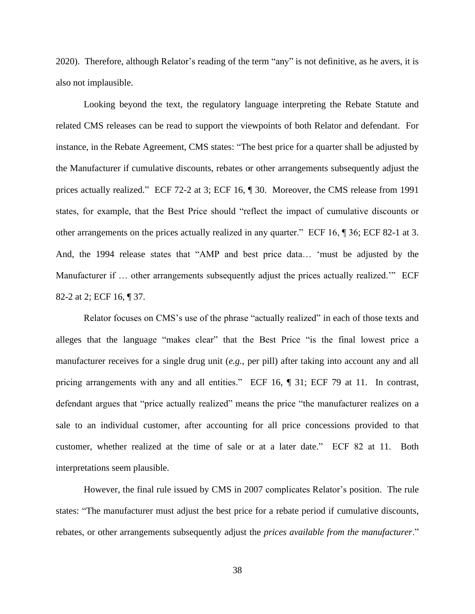2020). Therefore, although Relator's reading of the term "any" is not definitive, as he avers, it is also not implausible.

Looking beyond the text, the regulatory language interpreting the Rebate Statute and related CMS releases can be read to support the viewpoints of both Relator and defendant. For instance, in the Rebate Agreement, CMS states: "The best price for a quarter shall be adjusted by the Manufacturer if cumulative discounts, rebates or other arrangements subsequently adjust the prices actually realized." ECF 72-2 at 3; ECF 16, ¶ 30. Moreover, the CMS release from 1991 states, for example, that the Best Price should "reflect the impact of cumulative discounts or other arrangements on the prices actually realized in any quarter." ECF 16, ¶ 36; ECF 82-1 at 3. And, the 1994 release states that "AMP and best price data… 'must be adjusted by the Manufacturer if ... other arrangements subsequently adjust the prices actually realized." ECF 82-2 at 2; ECF 16, ¶ 37.

Relator focuses on CMS's use of the phrase "actually realized" in each of those texts and alleges that the language "makes clear" that the Best Price "is the final lowest price a manufacturer receives for a single drug unit (*e.g.*, per pill) after taking into account any and all pricing arrangements with any and all entities." ECF 16,  $\parallel$  31; ECF 79 at 11. In contrast, defendant argues that "price actually realized" means the price "the manufacturer realizes on a sale to an individual customer, after accounting for all price concessions provided to that customer, whether realized at the time of sale or at a later date." ECF 82 at 11. Both interpretations seem plausible.

However, the final rule issued by CMS in 2007 complicates Relator's position. The rule states: "The manufacturer must adjust the best price for a rebate period if cumulative discounts, rebates, or other arrangements subsequently adjust the *prices available from the manufacturer*."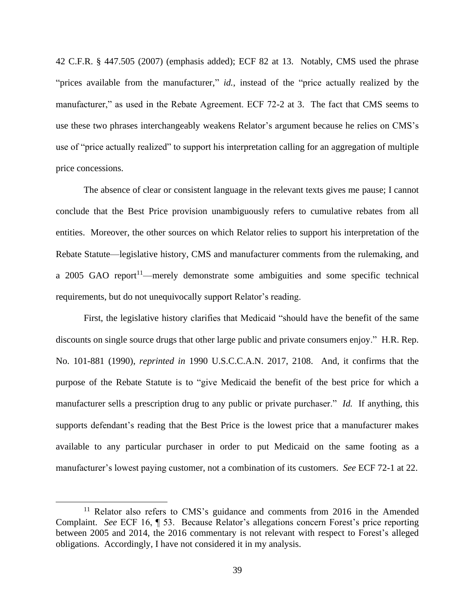42 C.F.R. § 447.505 (2007) (emphasis added); ECF 82 at 13. Notably, CMS used the phrase "prices available from the manufacturer," *id.*, instead of the "price actually realized by the manufacturer," as used in the Rebate Agreement. ECF 72-2 at 3. The fact that CMS seems to use these two phrases interchangeably weakens Relator's argument because he relies on CMS's use of "price actually realized" to support his interpretation calling for an aggregation of multiple price concessions.

The absence of clear or consistent language in the relevant texts gives me pause; I cannot conclude that the Best Price provision unambiguously refers to cumulative rebates from all entities. Moreover, the other sources on which Relator relies to support his interpretation of the Rebate Statute—legislative history, CMS and manufacturer comments from the rulemaking, and a 2005 GAO report<sup>11</sup>—merely demonstrate some ambiguities and some specific technical requirements, but do not unequivocally support Relator's reading.

First, the legislative history clarifies that Medicaid "should have the benefit of the same discounts on single source drugs that other large public and private consumers enjoy." H.R. Rep. No. 101-881 (1990), *reprinted in* 1990 U.S.C.C.A.N. 2017, 2108. And, it confirms that the purpose of the Rebate Statute is to "give Medicaid the benefit of the best price for which a manufacturer sells a prescription drug to any public or private purchaser." *Id.* If anything, this supports defendant's reading that the Best Price is the lowest price that a manufacturer makes available to any particular purchaser in order to put Medicaid on the same footing as a manufacturer's lowest paying customer, not a combination of its customers. *See* ECF 72-1 at 22.

<sup>&</sup>lt;sup>11</sup> Relator also refers to CMS's guidance and comments from 2016 in the Amended Complaint. *See* ECF 16, ¶ 53. Because Relator's allegations concern Forest's price reporting between 2005 and 2014, the 2016 commentary is not relevant with respect to Forest's alleged obligations. Accordingly, I have not considered it in my analysis.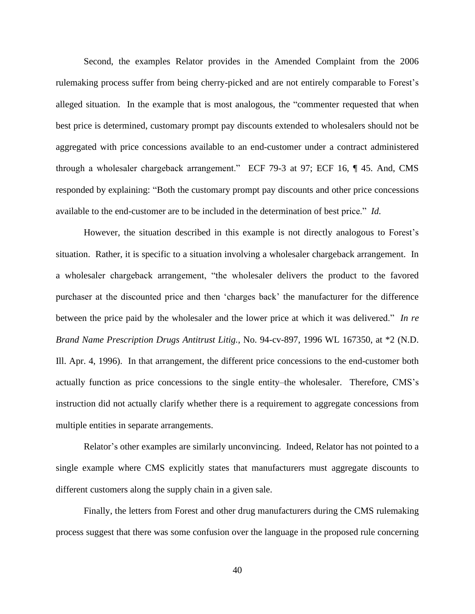Second, the examples Relator provides in the Amended Complaint from the 2006 rulemaking process suffer from being cherry-picked and are not entirely comparable to Forest's alleged situation. In the example that is most analogous, the "commenter requested that when best price is determined, customary prompt pay discounts extended to wholesalers should not be aggregated with price concessions available to an end-customer under a contract administered through a wholesaler chargeback arrangement." ECF 79-3 at 97; ECF 16, ¶ 45. And, CMS responded by explaining: "Both the customary prompt pay discounts and other price concessions available to the end-customer are to be included in the determination of best price." *Id.* 

However, the situation described in this example is not directly analogous to Forest's situation. Rather, it is specific to a situation involving a wholesaler chargeback arrangement. In a wholesaler chargeback arrangement, "the wholesaler delivers the product to the favored purchaser at the discounted price and then 'charges back' the manufacturer for the difference between the price paid by the wholesaler and the lower price at which it was delivered." *In re Brand Name Prescription Drugs Antitrust Litig.*, No. 94-cv-897, 1996 WL 167350, at \*2 (N.D. Ill. Apr. 4, 1996). In that arrangement, the different price concessions to the end-customer both actually function as price concessions to the single entity–the wholesaler. Therefore, CMS's instruction did not actually clarify whether there is a requirement to aggregate concessions from multiple entities in separate arrangements.

Relator's other examples are similarly unconvincing. Indeed, Relator has not pointed to a single example where CMS explicitly states that manufacturers must aggregate discounts to different customers along the supply chain in a given sale.

Finally, the letters from Forest and other drug manufacturers during the CMS rulemaking process suggest that there was some confusion over the language in the proposed rule concerning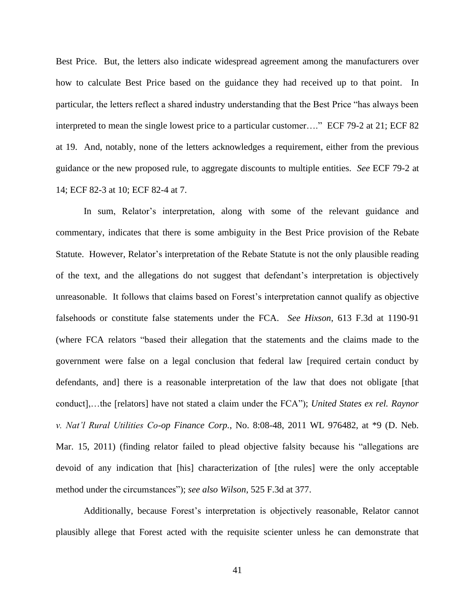Best Price. But, the letters also indicate widespread agreement among the manufacturers over how to calculate Best Price based on the guidance they had received up to that point. In particular, the letters reflect a shared industry understanding that the Best Price "has always been interpreted to mean the single lowest price to a particular customer…." ECF 79-2 at 21; ECF 82 at 19. And, notably, none of the letters acknowledges a requirement, either from the previous guidance or the new proposed rule, to aggregate discounts to multiple entities. *See* ECF 79-2 at 14; ECF 82-3 at 10; ECF 82-4 at 7.

In sum, Relator's interpretation, along with some of the relevant guidance and commentary, indicates that there is some ambiguity in the Best Price provision of the Rebate Statute. However, Relator's interpretation of the Rebate Statute is not the only plausible reading of the text, and the allegations do not suggest that defendant's interpretation is objectively unreasonable. It follows that claims based on Forest's interpretation cannot qualify as objective falsehoods or constitute false statements under the FCA. *See Hixson*, 613 F.3d at 1190-91 (where FCA relators "based their allegation that the statements and the claims made to the government were false on a legal conclusion that federal law [required certain conduct by defendants, and] there is a reasonable interpretation of the law that does not obligate [that conduct],…the [relators] have not stated a claim under the FCA"); *United States ex rel. Raynor v. Nat'l Rural Utilities Co-op Finance Corp.*, No. 8:08-48, 2011 WL 976482, at \*9 (D. Neb. Mar. 15, 2011) (finding relator failed to plead objective falsity because his "allegations are devoid of any indication that [his] characterization of [the rules] were the only acceptable method under the circumstances"); *see also Wilson*, 525 F.3d at 377.

Additionally, because Forest's interpretation is objectively reasonable, Relator cannot plausibly allege that Forest acted with the requisite scienter unless he can demonstrate that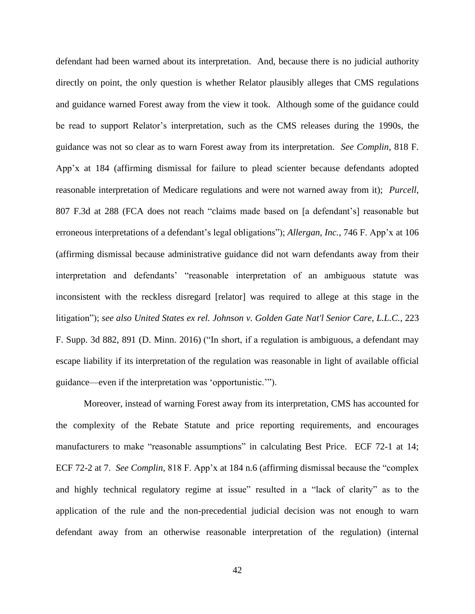defendant had been warned about its interpretation. And, because there is no judicial authority directly on point, the only question is whether Relator plausibly alleges that CMS regulations and guidance warned Forest away from the view it took. Although some of the guidance could be read to support Relator's interpretation, such as the CMS releases during the 1990s, the guidance was not so clear as to warn Forest away from its interpretation. *See Complin*, 818 F. App'x at 184 (affirming dismissal for failure to plead scienter because defendants adopted reasonable interpretation of Medicare regulations and were not warned away from it); *Purcell*, 807 F.3d at 288 (FCA does not reach "claims made based on [a defendant's] reasonable but erroneous interpretations of a defendant's legal obligations"); *Allergan, Inc.*, 746 F. App'x at 106 (affirming dismissal because administrative guidance did not warn defendants away from their interpretation and defendants' "reasonable interpretation of an ambiguous statute was inconsistent with the reckless disregard [relator] was required to allege at this stage in the litigation"); *see also United States ex rel. Johnson v. Golden Gate Nat'l Senior Care, L.L.C.*, 223 F. Supp. 3d 882, 891 (D. Minn. 2016) ("In short, if a regulation is ambiguous, a defendant may escape liability if its interpretation of the regulation was reasonable in light of available official guidance—even if the interpretation was 'opportunistic.'").

Moreover, instead of warning Forest away from its interpretation, CMS has accounted for the complexity of the Rebate Statute and price reporting requirements, and encourages manufacturers to make "reasonable assumptions" in calculating Best Price. ECF 72-1 at 14; ECF 72-2 at 7. *See Complin*, 818 F. App'x at 184 n.6 (affirming dismissal because the "complex and highly technical regulatory regime at issue" resulted in a "lack of clarity" as to the application of the rule and the non-precedential judicial decision was not enough to warn defendant away from an otherwise reasonable interpretation of the regulation) (internal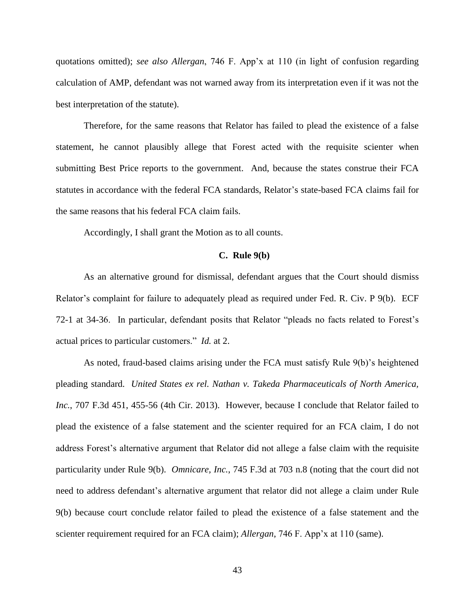quotations omitted); *see also Allergan*, 746 F. App'x at 110 (in light of confusion regarding calculation of AMP, defendant was not warned away from its interpretation even if it was not the best interpretation of the statute).

Therefore, for the same reasons that Relator has failed to plead the existence of a false statement, he cannot plausibly allege that Forest acted with the requisite scienter when submitting Best Price reports to the government. And, because the states construe their FCA statutes in accordance with the federal FCA standards, Relator's state-based FCA claims fail for the same reasons that his federal FCA claim fails.

Accordingly, I shall grant the Motion as to all counts.

## **C. Rule 9(b)**

As an alternative ground for dismissal, defendant argues that the Court should dismiss Relator's complaint for failure to adequately plead as required under Fed. R. Civ. P 9(b). ECF 72-1 at 34-36. In particular, defendant posits that Relator "pleads no facts related to Forest's actual prices to particular customers." *Id.* at 2.

As noted, fraud-based claims arising under the FCA must satisfy Rule 9(b)'s heightened pleading standard. *United States ex rel. Nathan v. Takeda Pharmaceuticals of North America, Inc.*, 707 F.3d 451, 455-56 (4th Cir. 2013). However, because I conclude that Relator failed to plead the existence of a false statement and the scienter required for an FCA claim, I do not address Forest's alternative argument that Relator did not allege a false claim with the requisite particularity under Rule 9(b). *Omnicare, Inc.*, 745 F.3d at 703 n.8 (noting that the court did not need to address defendant's alternative argument that relator did not allege a claim under Rule 9(b) because court conclude relator failed to plead the existence of a false statement and the scienter requirement required for an FCA claim); *Allergan*, 746 F. App'x at 110 (same).